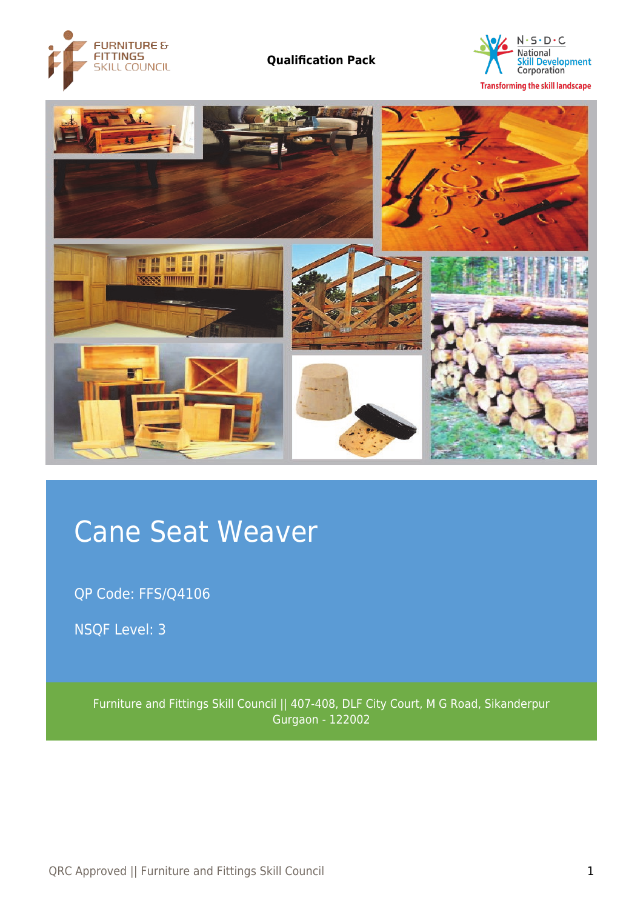





# Cane Seat Weaver

QP Code: FFS/Q4106

NSQF Level: 3

Furniture and Fittings Skill Council || 407-408, DLF City Court, M G Road, Sikanderpur Gurgaon - 122002

QRC Approved || Furniture and Fittings Skill Council 1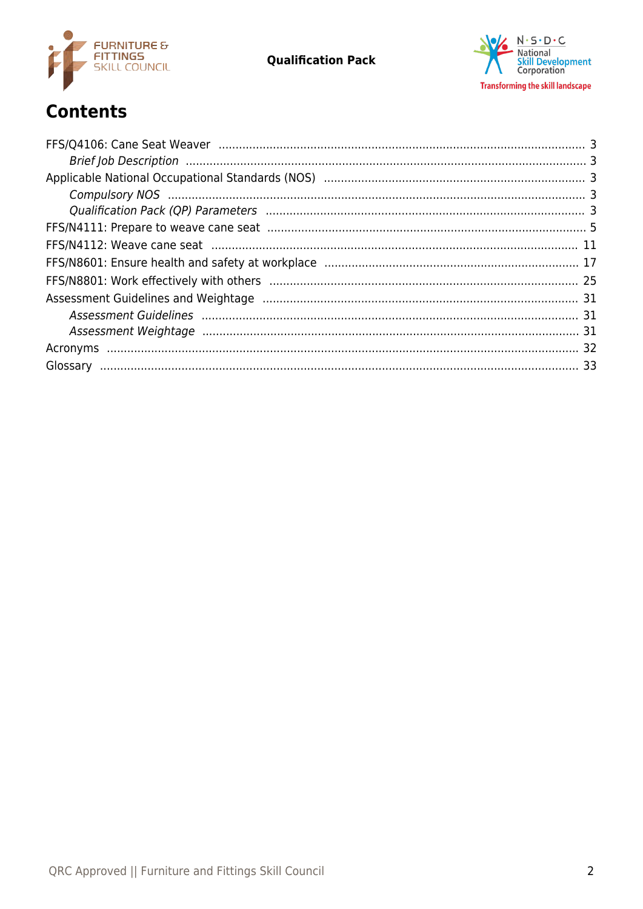



# **Contents**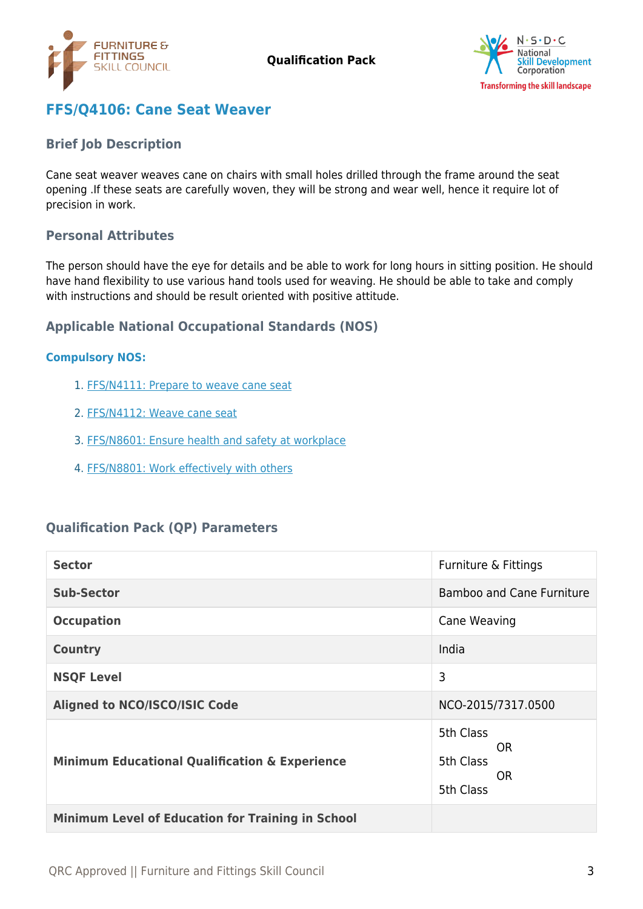



# <span id="page-2-0"></span>**FFS/Q4106: Cane Seat Weaver**

### <span id="page-2-1"></span>**Brief Job Description**

Cane seat weaver weaves cane on chairs with small holes drilled through the frame around the seat opening .If these seats are carefully woven, they will be strong and wear well, hence it require lot of precision in work.

### **Personal Attributes**

The person should have the eye for details and be able to work for long hours in sitting position. He should have hand flexibility to use various hand tools used for weaving. He should be able to take and comply with instructions and should be result oriented with positive attitude.

# <span id="page-2-2"></span>**Applicable National Occupational Standards (NOS)**

#### <span id="page-2-3"></span>**Compulsory NOS:**

- 1. [FFS/N4111: Prepare to weave cane seat](#page-4-0)
- 2. [FFS/N4112: Weave cane seat](#page-10-0)
- 3. [FFS/N8601: Ensure health and safety at workplace](#page-16-0)
- 4. [FFS/N8801: Work effectively with others](#page-24-0)

# <span id="page-2-4"></span>**Qualification Pack (QP) Parameters**

| <b>Sector</b>                                             | Furniture & Fittings                            |
|-----------------------------------------------------------|-------------------------------------------------|
| <b>Sub-Sector</b>                                         | <b>Bamboo and Cane Furniture</b>                |
| <b>Occupation</b>                                         | Cane Weaving                                    |
| <b>Country</b>                                            | India                                           |
| <b>NSQF Level</b>                                         | 3                                               |
| <b>Aligned to NCO/ISCO/ISIC Code</b>                      | NCO-2015/7317.0500                              |
| <b>Minimum Educational Qualification &amp; Experience</b> | 5th Class<br>0R<br>5th Class<br>0R<br>5th Class |
| <b>Minimum Level of Education for Training in School</b>  |                                                 |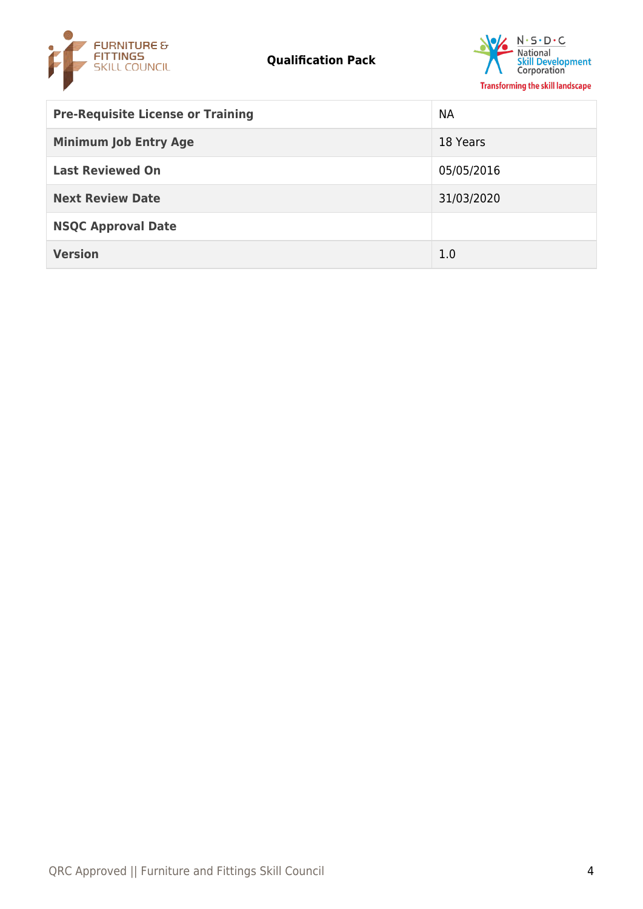



| <b>Pre-Requisite License or Training</b> | NА         |
|------------------------------------------|------------|
| <b>Minimum Job Entry Age</b>             | 18 Years   |
| <b>Last Reviewed On</b>                  | 05/05/2016 |
| <b>Next Review Date</b>                  | 31/03/2020 |
| <b>NSQC Approval Date</b>                |            |
| <b>Version</b>                           | 1.0        |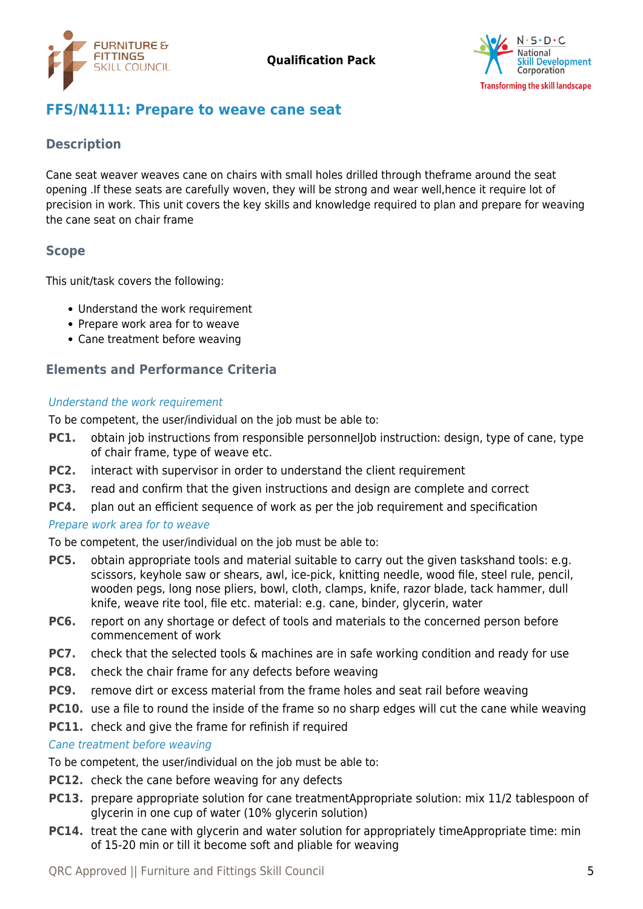



# <span id="page-4-0"></span>**FFS/N4111: Prepare to weave cane seat**

# **Description**

Cane seat weaver weaves cane on chairs with small holes drilled through theframe around the seat opening .If these seats are carefully woven, they will be strong and wear well,hence it require lot of precision in work. This unit covers the key skills and knowledge required to plan and prepare for weaving the cane seat on chair frame

### **Scope**

This unit/task covers the following:

- Understand the work requirement
- Prepare work area for to weave
- Cane treatment before weaving

# **Elements and Performance Criteria**

#### Understand the work requirement

To be competent, the user/individual on the job must be able to:

- PC1. obtain job instructions from responsible personnelJob instruction: design, type of cane, type of chair frame, type of weave etc.
- **PC2.** interact with supervisor in order to understand the client requirement
- **PC3.** read and confirm that the given instructions and design are complete and correct
- **PC4.** plan out an efficient sequence of work as per the job requirement and specification

### Prepare work area for to weave

To be competent, the user/individual on the job must be able to:

- **PC5.** obtain appropriate tools and material suitable to carry out the given taskshand tools: e.g. scissors, keyhole saw or shears, awl, ice-pick, knitting needle, wood file, steel rule, pencil, wooden pegs, long nose pliers, bowl, cloth, clamps, knife, razor blade, tack hammer, dull knife, weave rite tool, file etc. material: e.g. cane, binder, glycerin, water
- **PC6.** report on any shortage or defect of tools and materials to the concerned person before commencement of work
- **PC7.** check that the selected tools & machines are in safe working condition and ready for use
- **PC8.** check the chair frame for any defects before weaving
- **PC9.** remove dirt or excess material from the frame holes and seat rail before weaving
- **PC10.** use a file to round the inside of the frame so no sharp edges will cut the cane while weaving
- **PC11.** check and give the frame for refinish if required

#### Cane treatment before weaving

To be competent, the user/individual on the job must be able to:

- **PC12.** check the cane before weaving for any defects
- **PC13.** prepare appropriate solution for cane treatmentAppropriate solution: mix 11/2 tablespoon of glycerin in one cup of water (10% glycerin solution)
- **PC14.** treat the cane with glycerin and water solution for appropriately timeAppropriate time: min of 15-20 min or till it become soft and pliable for weaving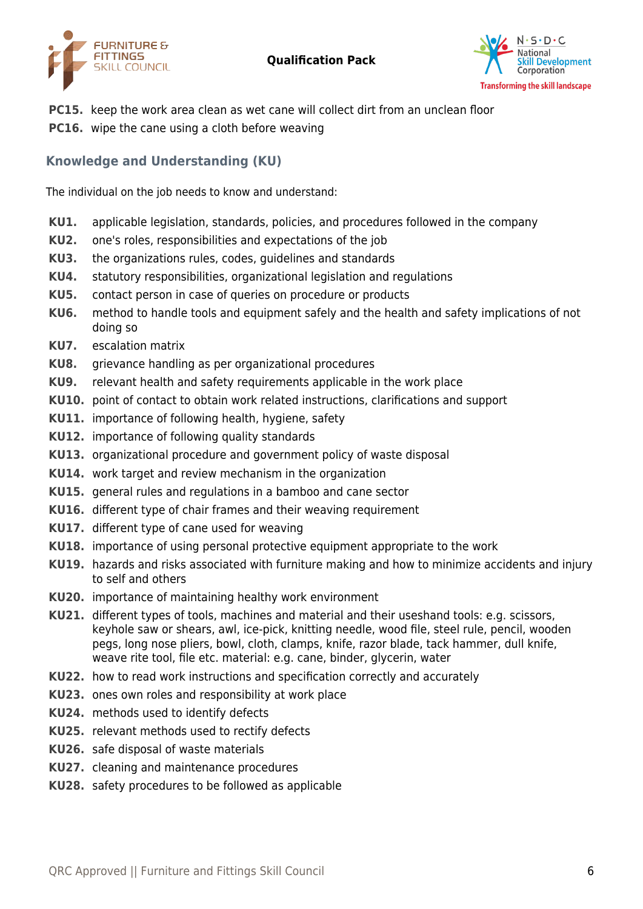



- **PC15.** keep the work area clean as wet cane will collect dirt from an unclean floor
- **PC16.** wipe the cane using a cloth before weaving

# **Knowledge and Understanding (KU)**

The individual on the job needs to know and understand:

- **KU1.** applicable legislation, standards, policies, and procedures followed in the company
- **KU2.** one's roles, responsibilities and expectations of the job
- **KU3.** the organizations rules, codes, guidelines and standards
- **KU4.** statutory responsibilities, organizational legislation and regulations
- **KU5.** contact person in case of queries on procedure or products
- **KU6.** method to handle tools and equipment safely and the health and safety implications of not doing so
- **KU7.** escalation matrix
- **KU8.** grievance handling as per organizational procedures
- **KU9.** relevant health and safety requirements applicable in the work place
- **KU10.** point of contact to obtain work related instructions, clarifications and support
- **KU11.** importance of following health, hygiene, safety
- **KU12.** importance of following quality standards
- **KU13.** organizational procedure and government policy of waste disposal
- **KU14.** work target and review mechanism in the organization
- **KU15.** general rules and regulations in a bamboo and cane sector
- **KU16.** different type of chair frames and their weaving requirement
- **KU17.** different type of cane used for weaving
- **KU18.** importance of using personal protective equipment appropriate to the work
- **KU19.** hazards and risks associated with furniture making and how to minimize accidents and injury to self and others
- **KU20.** importance of maintaining healthy work environment
- **KU21.** different types of tools, machines and material and their useshand tools: e.g. scissors, keyhole saw or shears, awl, ice-pick, knitting needle, wood file, steel rule, pencil, wooden pegs, long nose pliers, bowl, cloth, clamps, knife, razor blade, tack hammer, dull knife, weave rite tool, file etc. material: e.g. cane, binder, glycerin, water
- **KU22.** how to read work instructions and specification correctly and accurately
- **KU23.** ones own roles and responsibility at work place
- **KU24.** methods used to identify defects
- **KU25.** relevant methods used to rectify defects
- **KU26.** safe disposal of waste materials
- **KU27.** cleaning and maintenance procedures
- **KU28.** safety procedures to be followed as applicable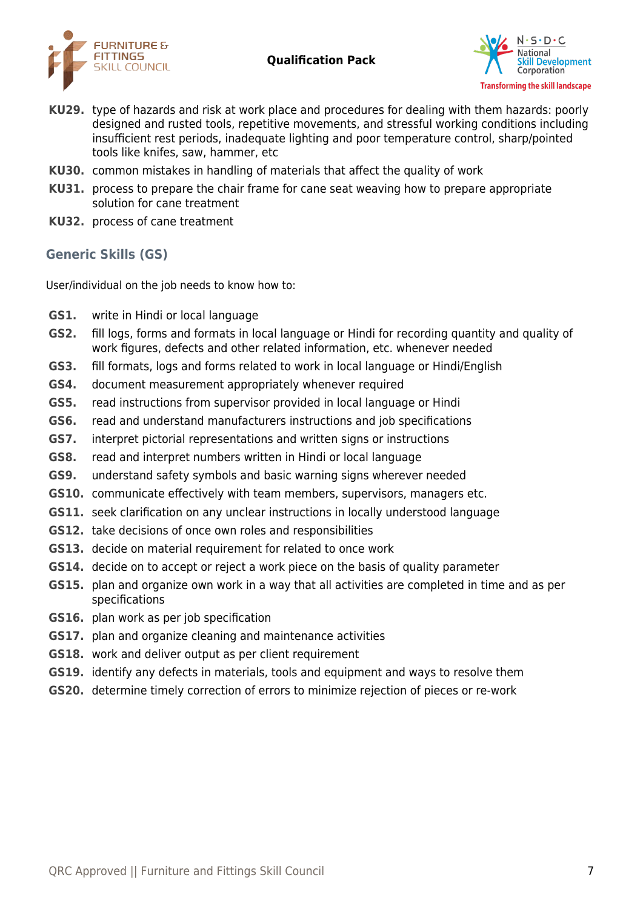



- **KU29.** type of hazards and risk at work place and procedures for dealing with them hazards: poorly designed and rusted tools, repetitive movements, and stressful working conditions including insufficient rest periods, inadequate lighting and poor temperature control, sharp/pointed tools like knifes, saw, hammer, etc
- **KU30.** common mistakes in handling of materials that affect the quality of work
- **KU31.** process to prepare the chair frame for cane seat weaving how to prepare appropriate solution for cane treatment
- **KU32.** process of cane treatment

# **Generic Skills (GS)**

User/individual on the job needs to know how to:

- **GS1.** write in Hindi or local language
- **GS2.** fill logs, forms and formats in local language or Hindi for recording quantity and quality of work figures, defects and other related information, etc. whenever needed
- **GS3.** fill formats, logs and forms related to work in local language or Hindi/English
- **GS4.** document measurement appropriately whenever required
- **GS5.** read instructions from supervisor provided in local language or Hindi
- **GS6.** read and understand manufacturers instructions and job specifications
- **GS7.** interpret pictorial representations and written signs or instructions
- **GS8.** read and interpret numbers written in Hindi or local language
- **GS9.** understand safety symbols and basic warning signs wherever needed
- **GS10.** communicate effectively with team members, supervisors, managers etc.
- **GS11.** seek clarification on any unclear instructions in locally understood language
- **GS12.** take decisions of once own roles and responsibilities
- **GS13.** decide on material requirement for related to once work
- **GS14.** decide on to accept or reject a work piece on the basis of quality parameter
- **GS15.** plan and organize own work in a way that all activities are completed in time and as per specifications
- **GS16.** plan work as per job specification
- **GS17.** plan and organize cleaning and maintenance activities
- **GS18.** work and deliver output as per client requirement
- **GS19.** identify any defects in materials, tools and equipment and ways to resolve them
- **GS20.** determine timely correction of errors to minimize rejection of pieces or re-work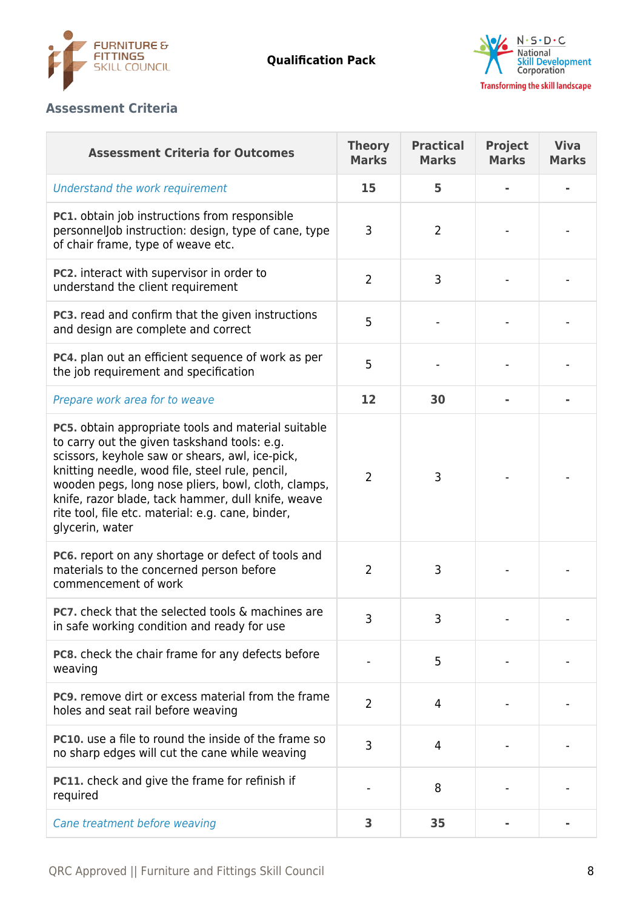



# **Assessment Criteria**

| <b>Assessment Criteria for Outcomes</b>                                                                                                                                                                                                                                                                                                                                                               | <b>Theory</b><br><b>Marks</b> | <b>Practical</b><br><b>Marks</b> | <b>Project</b><br><b>Marks</b> | <b>Viva</b><br><b>Marks</b> |
|-------------------------------------------------------------------------------------------------------------------------------------------------------------------------------------------------------------------------------------------------------------------------------------------------------------------------------------------------------------------------------------------------------|-------------------------------|----------------------------------|--------------------------------|-----------------------------|
| Understand the work requirement                                                                                                                                                                                                                                                                                                                                                                       | 15                            | 5                                |                                |                             |
| PC1. obtain job instructions from responsible<br>personneljob instruction: design, type of cane, type<br>of chair frame, type of weave etc.                                                                                                                                                                                                                                                           | 3                             | $\overline{2}$                   |                                |                             |
| PC2. interact with supervisor in order to<br>understand the client requirement                                                                                                                                                                                                                                                                                                                        | $\overline{2}$                | 3                                |                                |                             |
| PC3. read and confirm that the given instructions<br>and design are complete and correct                                                                                                                                                                                                                                                                                                              | 5                             |                                  |                                |                             |
| PC4. plan out an efficient sequence of work as per<br>the job requirement and specification                                                                                                                                                                                                                                                                                                           | 5                             |                                  |                                |                             |
| Prepare work area for to weave                                                                                                                                                                                                                                                                                                                                                                        | 12                            | 30                               |                                |                             |
| <b>PC5.</b> obtain appropriate tools and material suitable<br>to carry out the given taskshand tools: e.g.<br>scissors, keyhole saw or shears, awl, ice-pick,<br>knitting needle, wood file, steel rule, pencil,<br>wooden pegs, long nose pliers, bowl, cloth, clamps,<br>knife, razor blade, tack hammer, dull knife, weave<br>rite tool, file etc. material: e.g. cane, binder,<br>glycerin, water | 2                             | 3                                |                                |                             |
| PC6. report on any shortage or defect of tools and<br>materials to the concerned person before<br>commencement of work                                                                                                                                                                                                                                                                                | 2                             | 3                                |                                |                             |
| <b>PC7.</b> check that the selected tools & machines are<br>in safe working condition and ready for use                                                                                                                                                                                                                                                                                               | 3                             | 3                                |                                |                             |
| PC8. check the chair frame for any defects before<br>weaving                                                                                                                                                                                                                                                                                                                                          |                               | 5                                |                                |                             |
| <b>PC9.</b> remove dirt or excess material from the frame<br>holes and seat rail before weaving                                                                                                                                                                                                                                                                                                       | 2                             | 4                                |                                |                             |
| <b>PC10.</b> use a file to round the inside of the frame so<br>no sharp edges will cut the cane while weaving                                                                                                                                                                                                                                                                                         | 3                             | 4                                |                                |                             |
| PC11. check and give the frame for refinish if<br>required                                                                                                                                                                                                                                                                                                                                            |                               | 8                                |                                |                             |
| Cane treatment before weaving                                                                                                                                                                                                                                                                                                                                                                         | 3                             | 35                               |                                |                             |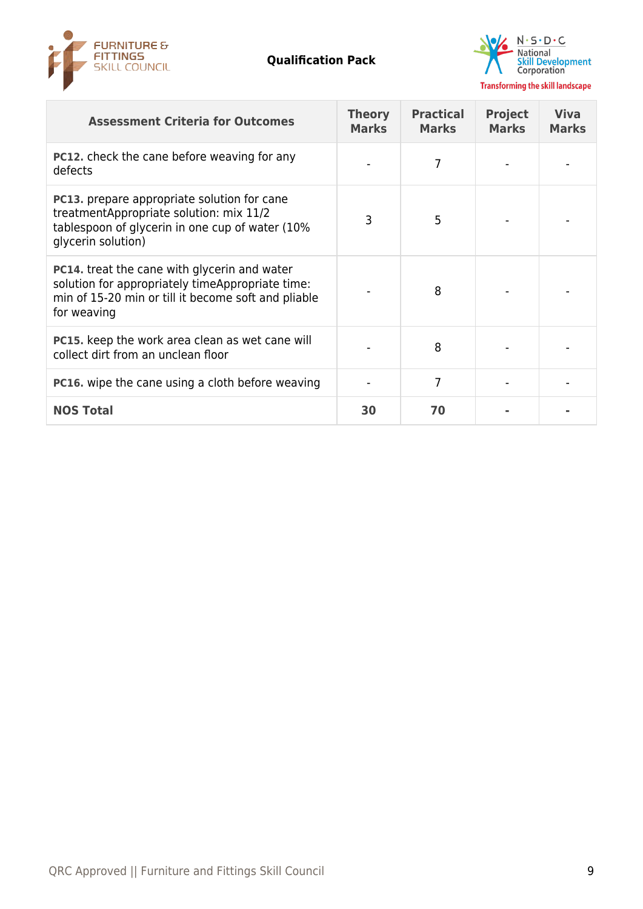



| <b>Assessment Criteria for Outcomes</b>                                                                                                                                | <b>Theory</b><br><b>Marks</b> | <b>Practical</b><br><b>Marks</b> | <b>Project</b><br><b>Marks</b> | <b>Viva</b><br><b>Marks</b> |
|------------------------------------------------------------------------------------------------------------------------------------------------------------------------|-------------------------------|----------------------------------|--------------------------------|-----------------------------|
| PC12. check the cane before weaving for any<br>defects                                                                                                                 |                               |                                  |                                |                             |
| <b>PC13.</b> prepare appropriate solution for cane<br>treatmentAppropriate solution: mix 11/2<br>tablespoon of glycerin in one cup of water (10%<br>glycerin solution) | 3                             | 5                                |                                |                             |
| PC14. treat the cane with glycerin and water<br>solution for appropriately timeAppropriate time:<br>min of 15-20 min or till it become soft and pliable<br>for weaving |                               | 8                                |                                |                             |
| <b>PC15.</b> keep the work area clean as wet cane will<br>collect dirt from an unclean floor                                                                           |                               | 8                                |                                |                             |
| <b>PC16.</b> wipe the cane using a cloth before weaving                                                                                                                |                               | 7                                |                                |                             |
| <b>NOS Total</b>                                                                                                                                                       | 30                            | 70                               |                                |                             |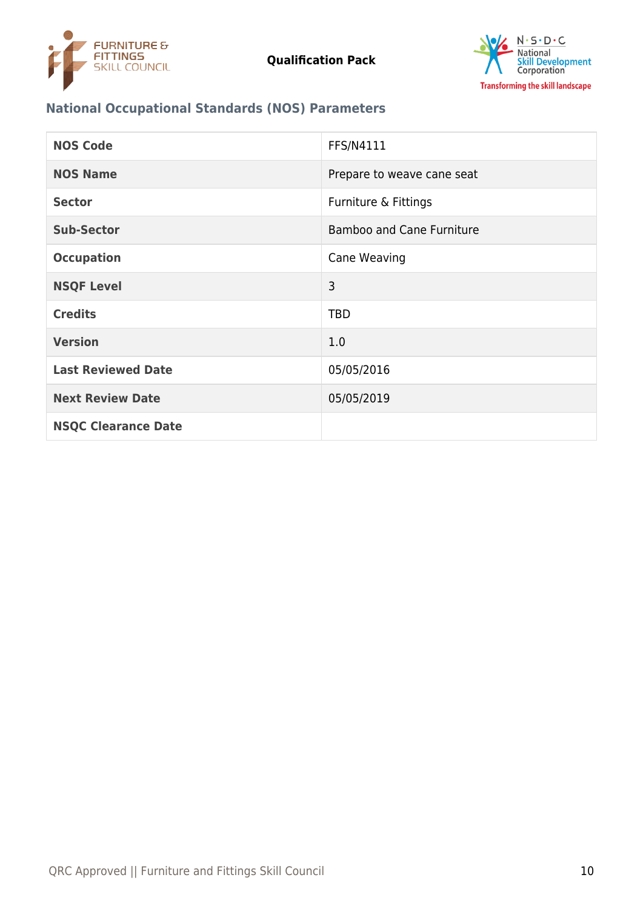



# **National Occupational Standards (NOS) Parameters**

| <b>NOS Code</b>            | FFS/N4111                        |
|----------------------------|----------------------------------|
| <b>NOS Name</b>            | Prepare to weave cane seat       |
| <b>Sector</b>              | Furniture & Fittings             |
| <b>Sub-Sector</b>          | <b>Bamboo and Cane Furniture</b> |
| <b>Occupation</b>          | Cane Weaving                     |
| <b>NSQF Level</b>          | 3                                |
| <b>Credits</b>             | <b>TBD</b>                       |
| <b>Version</b>             | 1.0                              |
| <b>Last Reviewed Date</b>  | 05/05/2016                       |
| <b>Next Review Date</b>    | 05/05/2019                       |
| <b>NSQC Clearance Date</b> |                                  |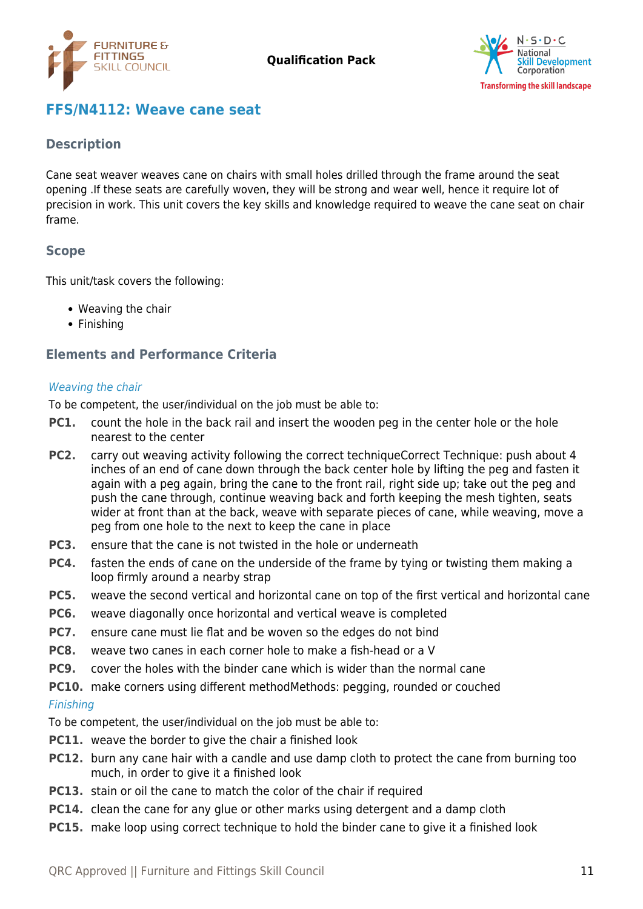



# <span id="page-10-0"></span>**FFS/N4112: Weave cane seat**

### **Description**

Cane seat weaver weaves cane on chairs with small holes drilled through the frame around the seat opening .If these seats are carefully woven, they will be strong and wear well, hence it require lot of precision in work. This unit covers the key skills and knowledge required to weave the cane seat on chair frame.

### **Scope**

This unit/task covers the following:

- Weaving the chair
- Finishing

# **Elements and Performance Criteria**

#### Weaving the chair

To be competent, the user/individual on the job must be able to:

- **PC1.** count the hole in the back rail and insert the wooden peg in the center hole or the hole nearest to the center
- **PC2.** carry out weaving activity following the correct techniqueCorrect Technique: push about 4 inches of an end of cane down through the back center hole by lifting the peg and fasten it again with a peg again, bring the cane to the front rail, right side up; take out the peg and push the cane through, continue weaving back and forth keeping the mesh tighten, seats wider at front than at the back, weave with separate pieces of cane, while weaving, move a peg from one hole to the next to keep the cane in place
- **PC3.** ensure that the cane is not twisted in the hole or underneath
- **PC4.** fasten the ends of cane on the underside of the frame by tying or twisting them making a loop firmly around a nearby strap
- **PC5.** weave the second vertical and horizontal cane on top of the first vertical and horizontal cane
- **PC6.** weave diagonally once horizontal and vertical weave is completed
- **PC7.** ensure cane must lie flat and be woven so the edges do not bind
- **PC8.** weave two canes in each corner hole to make a fish-head or a V
- **PC9.** cover the holes with the binder cane which is wider than the normal cane
- **PC10.** make corners using different methodMethods: pegging, rounded or couched

#### Finishing

To be competent, the user/individual on the job must be able to:

- **PC11.** weave the border to give the chair a finished look
- **PC12.** burn any cane hair with a candle and use damp cloth to protect the cane from burning too much, in order to give it a finished look
- **PC13.** stain or oil the cane to match the color of the chair if required
- **PC14.** clean the cane for any glue or other marks using detergent and a damp cloth
- **PC15.** make loop using correct technique to hold the binder cane to give it a finished look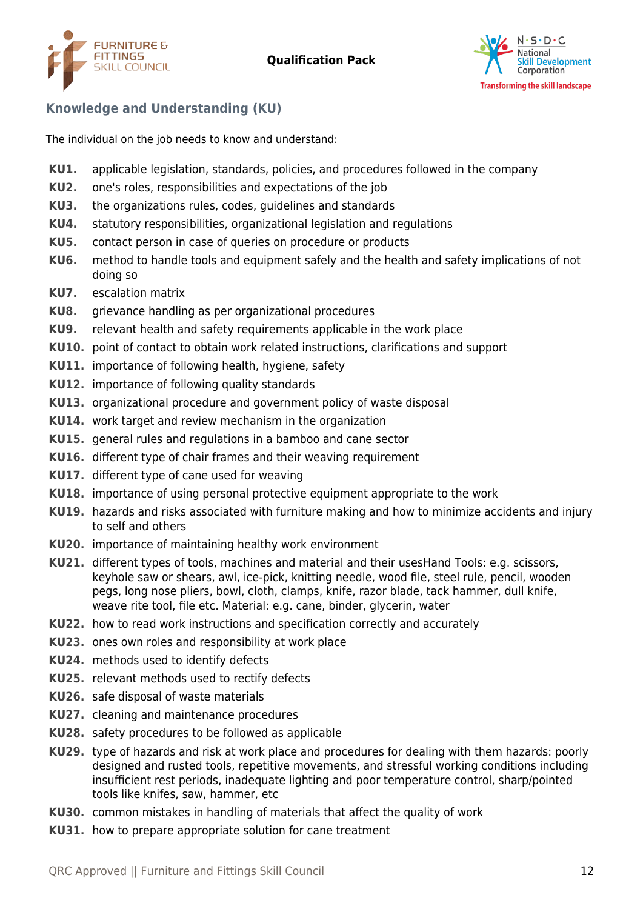



# **Knowledge and Understanding (KU)**

The individual on the job needs to know and understand:

- **KU1.** applicable legislation, standards, policies, and procedures followed in the company
- **KU2.** one's roles, responsibilities and expectations of the job
- **KU3.** the organizations rules, codes, guidelines and standards
- **KU4.** statutory responsibilities, organizational legislation and regulations
- **KU5.** contact person in case of queries on procedure or products
- **KU6.** method to handle tools and equipment safely and the health and safety implications of not doing so
- **KU7.** escalation matrix
- **KU8.** grievance handling as per organizational procedures
- **KU9.** relevant health and safety requirements applicable in the work place
- **KU10.** point of contact to obtain work related instructions, clarifications and support
- **KU11.** importance of following health, hygiene, safety
- **KU12.** importance of following quality standards
- **KU13.** organizational procedure and government policy of waste disposal
- **KU14.** work target and review mechanism in the organization
- **KU15.** general rules and regulations in a bamboo and cane sector
- **KU16.** different type of chair frames and their weaving requirement
- **KU17.** different type of cane used for weaving
- **KU18.** importance of using personal protective equipment appropriate to the work
- **KU19.** hazards and risks associated with furniture making and how to minimize accidents and injury to self and others
- **KU20.** importance of maintaining healthy work environment
- **KU21.** different types of tools, machines and material and their usesHand Tools: e.g. scissors, keyhole saw or shears, awl, ice-pick, knitting needle, wood file, steel rule, pencil, wooden pegs, long nose pliers, bowl, cloth, clamps, knife, razor blade, tack hammer, dull knife, weave rite tool, file etc. Material: e.g. cane, binder, glycerin, water
- **KU22.** how to read work instructions and specification correctly and accurately
- **KU23.** ones own roles and responsibility at work place
- **KU24.** methods used to identify defects
- **KU25.** relevant methods used to rectify defects
- **KU26.** safe disposal of waste materials
- **KU27.** cleaning and maintenance procedures
- **KU28.** safety procedures to be followed as applicable
- **KU29.** type of hazards and risk at work place and procedures for dealing with them hazards: poorly designed and rusted tools, repetitive movements, and stressful working conditions including insufficient rest periods, inadequate lighting and poor temperature control, sharp/pointed tools like knifes, saw, hammer, etc
- **KU30.** common mistakes in handling of materials that affect the quality of work
- **KU31.** how to prepare appropriate solution for cane treatment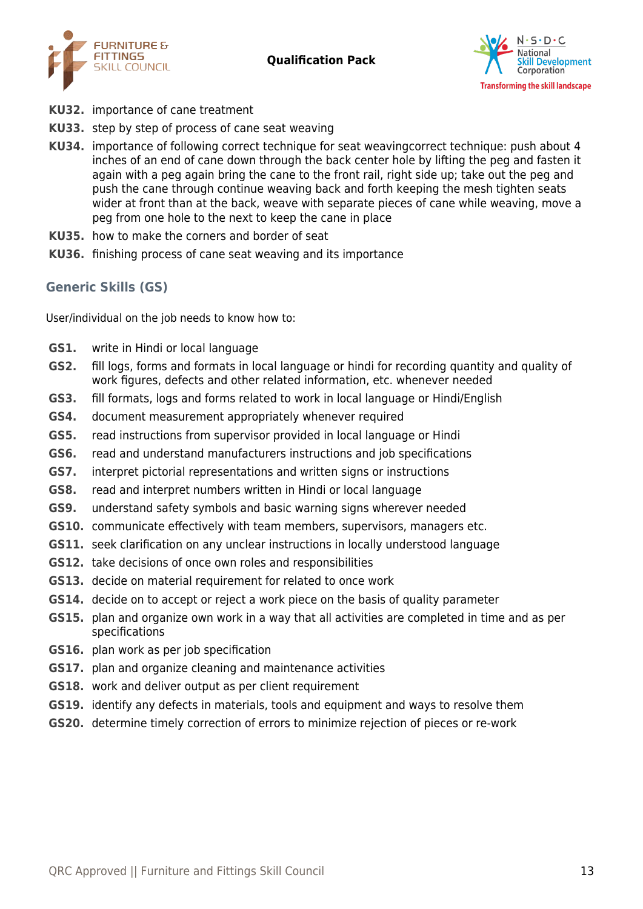



- **KU32.** importance of cane treatment
- **KU33.** step by step of process of cane seat weaving
- **KU34.** importance of following correct technique for seat weavingcorrect technique: push about 4 inches of an end of cane down through the back center hole by lifting the peg and fasten it again with a peg again bring the cane to the front rail, right side up; take out the peg and push the cane through continue weaving back and forth keeping the mesh tighten seats wider at front than at the back, weave with separate pieces of cane while weaving, move a peg from one hole to the next to keep the cane in place
- **KU35.** how to make the corners and border of seat
- **KU36.** finishing process of cane seat weaving and its importance

# **Generic Skills (GS)**

User/individual on the job needs to know how to:

- **GS1.** write in Hindi or local language
- **GS2.** fill logs, forms and formats in local language or hindi for recording quantity and quality of work figures, defects and other related information, etc. whenever needed
- **GS3.** fill formats, logs and forms related to work in local language or Hindi/English
- **GS4.** document measurement appropriately whenever required
- **GS5.** read instructions from supervisor provided in local language or Hindi
- **GS6.** read and understand manufacturers instructions and job specifications
- **GS7.** interpret pictorial representations and written signs or instructions
- **GS8.** read and interpret numbers written in Hindi or local language
- **GS9.** understand safety symbols and basic warning signs wherever needed
- **GS10.** communicate effectively with team members, supervisors, managers etc.
- **GS11.** seek clarification on any unclear instructions in locally understood language
- **GS12.** take decisions of once own roles and responsibilities
- **GS13.** decide on material requirement for related to once work
- **GS14.** decide on to accept or reject a work piece on the basis of quality parameter
- **GS15.** plan and organize own work in a way that all activities are completed in time and as per specifications
- **GS16.** plan work as per job specification
- **GS17.** plan and organize cleaning and maintenance activities
- **GS18.** work and deliver output as per client requirement
- **GS19.** identify any defects in materials, tools and equipment and ways to resolve them
- **GS20.** determine timely correction of errors to minimize rejection of pieces or re-work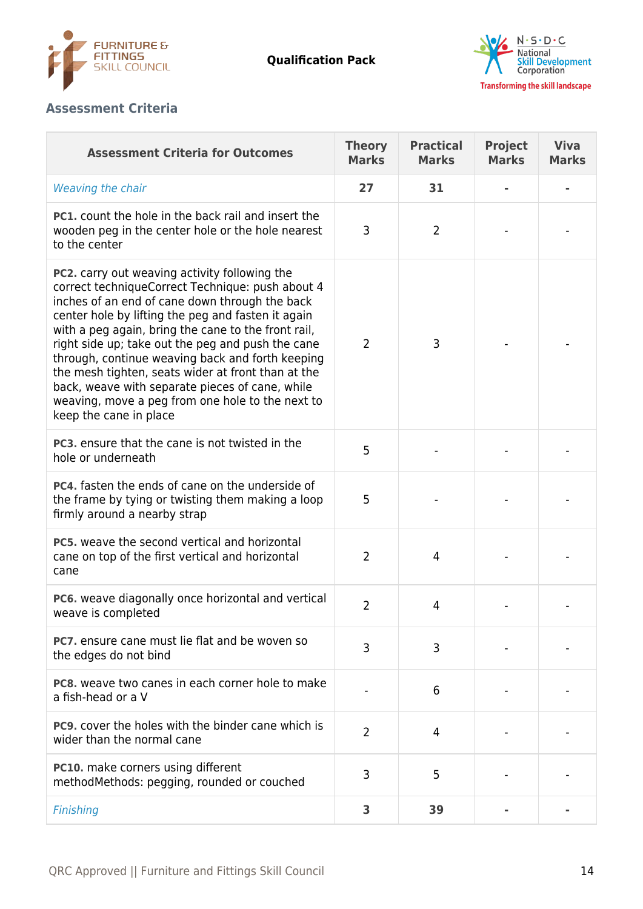



# **Assessment Criteria**

| <b>Assessment Criteria for Outcomes</b>                                                                                                                                                                                                                                                                                                                                                                                                                                                                                                                                 | <b>Theory</b><br><b>Marks</b> | <b>Practical</b><br><b>Marks</b> | <b>Project</b><br><b>Marks</b> | <b>Viva</b><br><b>Marks</b> |
|-------------------------------------------------------------------------------------------------------------------------------------------------------------------------------------------------------------------------------------------------------------------------------------------------------------------------------------------------------------------------------------------------------------------------------------------------------------------------------------------------------------------------------------------------------------------------|-------------------------------|----------------------------------|--------------------------------|-----------------------------|
| Weaving the chair                                                                                                                                                                                                                                                                                                                                                                                                                                                                                                                                                       | 27                            | 31                               |                                |                             |
| <b>PC1.</b> count the hole in the back rail and insert the<br>wooden peg in the center hole or the hole nearest<br>to the center                                                                                                                                                                                                                                                                                                                                                                                                                                        | 3                             | $\overline{2}$                   |                                |                             |
| <b>PC2.</b> carry out weaving activity following the<br>correct techniqueCorrect Technique: push about 4<br>inches of an end of cane down through the back<br>center hole by lifting the peg and fasten it again<br>with a peg again, bring the cane to the front rail,<br>right side up; take out the peg and push the cane<br>through, continue weaving back and forth keeping<br>the mesh tighten, seats wider at front than at the<br>back, weave with separate pieces of cane, while<br>weaving, move a peg from one hole to the next to<br>keep the cane in place | $\overline{2}$                | 3                                |                                |                             |
| PC3. ensure that the cane is not twisted in the<br>hole or underneath                                                                                                                                                                                                                                                                                                                                                                                                                                                                                                   | 5                             |                                  |                                |                             |
| <b>PC4.</b> fasten the ends of cane on the underside of<br>the frame by tying or twisting them making a loop<br>firmly around a nearby strap                                                                                                                                                                                                                                                                                                                                                                                                                            | 5                             |                                  |                                |                             |
| <b>PC5.</b> weave the second vertical and horizontal<br>cane on top of the first vertical and horizontal<br>cane                                                                                                                                                                                                                                                                                                                                                                                                                                                        | $\overline{2}$                | 4                                |                                |                             |
| PC6. weave diagonally once horizontal and vertical<br>weave is completed                                                                                                                                                                                                                                                                                                                                                                                                                                                                                                | $\overline{2}$                | 4                                |                                |                             |
| <b>PC7.</b> ensure cane must lie flat and be woven so<br>the edges do not bind                                                                                                                                                                                                                                                                                                                                                                                                                                                                                          | 3                             | 3                                |                                |                             |
| <b>PC8.</b> weave two canes in each corner hole to make<br>a fish-head or a V                                                                                                                                                                                                                                                                                                                                                                                                                                                                                           |                               | 6                                |                                |                             |
| <b>PC9.</b> cover the holes with the binder cane which is<br>wider than the normal cane                                                                                                                                                                                                                                                                                                                                                                                                                                                                                 | $\overline{2}$                | 4                                |                                |                             |
| <b>PC10.</b> make corners using different<br>methodMethods: pegging, rounded or couched                                                                                                                                                                                                                                                                                                                                                                                                                                                                                 | 3                             | 5                                |                                |                             |
| <b>Finishing</b>                                                                                                                                                                                                                                                                                                                                                                                                                                                                                                                                                        | 3                             | 39                               |                                |                             |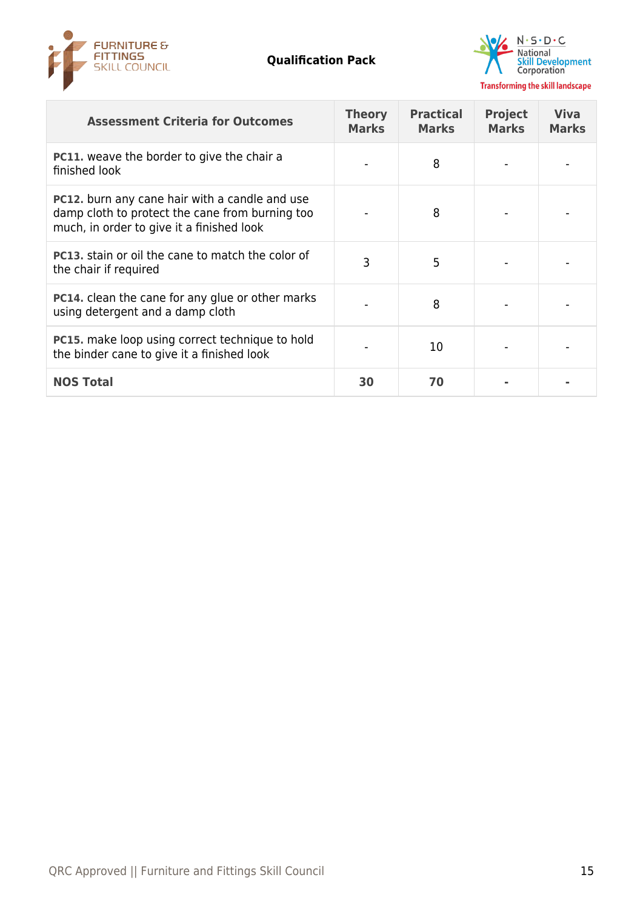



| <b>Assessment Criteria for Outcomes</b>                                                                                                               | <b>Theory</b><br><b>Marks</b> | <b>Practical</b><br><b>Marks</b> | <b>Project</b><br><b>Marks</b> | <b>Viva</b><br><b>Marks</b> |
|-------------------------------------------------------------------------------------------------------------------------------------------------------|-------------------------------|----------------------------------|--------------------------------|-----------------------------|
| PC11. weave the border to give the chair a<br>finished look                                                                                           |                               | 8                                |                                |                             |
| <b>PC12.</b> burn any cane hair with a candle and use<br>damp cloth to protect the cane from burning too<br>much, in order to give it a finished look |                               | 8                                |                                |                             |
| <b>PC13.</b> stain or oil the cane to match the color of<br>the chair if required                                                                     | 3                             | 5                                |                                |                             |
| <b>PC14.</b> clean the cane for any glue or other marks<br>using detergent and a damp cloth                                                           |                               | 8                                |                                |                             |
| <b>PC15.</b> make loop using correct technique to hold<br>the binder cane to give it a finished look                                                  |                               | 10                               |                                |                             |
| <b>NOS Total</b>                                                                                                                                      | 30                            | 70                               |                                |                             |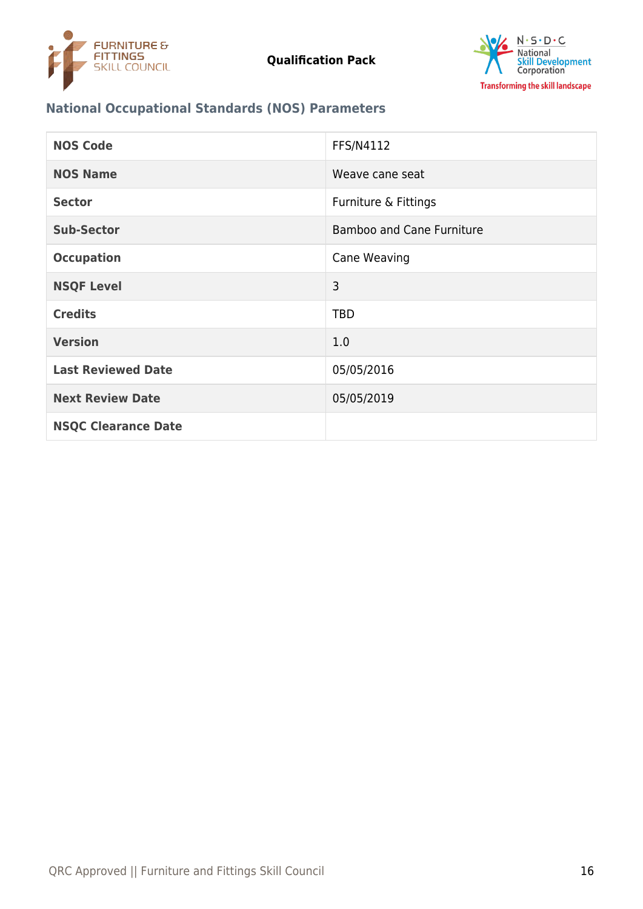



# **National Occupational Standards (NOS) Parameters**

| <b>NOS Code</b>            | FFS/N4112                        |
|----------------------------|----------------------------------|
| <b>NOS Name</b>            | Weave cane seat                  |
| <b>Sector</b>              | Furniture & Fittings             |
| <b>Sub-Sector</b>          | <b>Bamboo and Cane Furniture</b> |
| <b>Occupation</b>          | Cane Weaving                     |
| <b>NSQF Level</b>          | 3                                |
| <b>Credits</b>             | <b>TBD</b>                       |
| <b>Version</b>             | 1.0                              |
| <b>Last Reviewed Date</b>  | 05/05/2016                       |
| <b>Next Review Date</b>    | 05/05/2019                       |
| <b>NSQC Clearance Date</b> |                                  |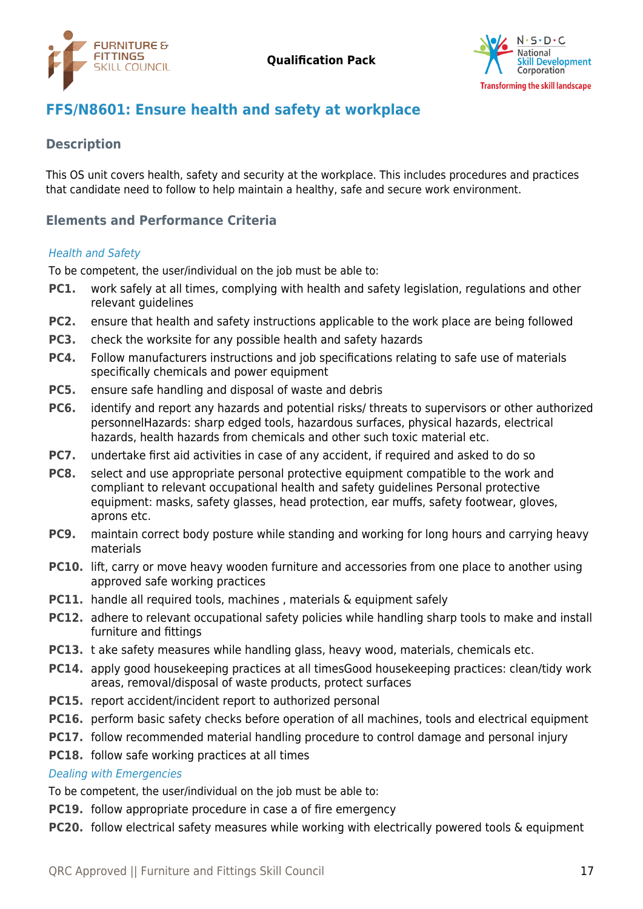



# <span id="page-16-0"></span>**FFS/N8601: Ensure health and safety at workplace**

# **Description**

This OS unit covers health, safety and security at the workplace. This includes procedures and practices that candidate need to follow to help maintain a healthy, safe and secure work environment.

# **Elements and Performance Criteria**

#### Health and Safety

To be competent, the user/individual on the job must be able to:

- **PC1.** work safely at all times, complying with health and safety legislation, regulations and other relevant guidelines
- **PC2.** ensure that health and safety instructions applicable to the work place are being followed
- **PC3.** check the worksite for any possible health and safety hazards
- **PC4.** Follow manufacturers instructions and job specifications relating to safe use of materials specifically chemicals and power equipment
- **PC5.** ensure safe handling and disposal of waste and debris
- **PC6.** identify and report any hazards and potential risks/ threats to supervisors or other authorized personnelHazards: sharp edged tools, hazardous surfaces, physical hazards, electrical hazards, health hazards from chemicals and other such toxic material etc.
- **PC7.** undertake first aid activities in case of any accident, if required and asked to do so
- **PC8.** select and use appropriate personal protective equipment compatible to the work and compliant to relevant occupational health and safety guidelines Personal protective equipment: masks, safety glasses, head protection, ear muffs, safety footwear, gloves, aprons etc.
- **PC9.** maintain correct body posture while standing and working for long hours and carrying heavy materials
- **PC10.** lift, carry or move heavy wooden furniture and accessories from one place to another using approved safe working practices
- **PC11.** handle all required tools, machines, materials & equipment safely
- **PC12.** adhere to relevant occupational safety policies while handling sharp tools to make and install furniture and fittings
- **PC13.** t ake safety measures while handling glass, heavy wood, materials, chemicals etc.
- **PC14.** apply good housekeeping practices at all timesGood housekeeping practices: clean/tidy work areas, removal/disposal of waste products, protect surfaces
- **PC15.** report accident/incident report to authorized personal
- **PC16.** perform basic safety checks before operation of all machines, tools and electrical equipment
- **PC17.** follow recommended material handling procedure to control damage and personal injury

### **PC18.** follow safe working practices at all times

#### Dealing with Emergencies

To be competent, the user/individual on the job must be able to:

- **PC19.** follow appropriate procedure in case a of fire emergency
- **PC20.** follow electrical safety measures while working with electrically powered tools & equipment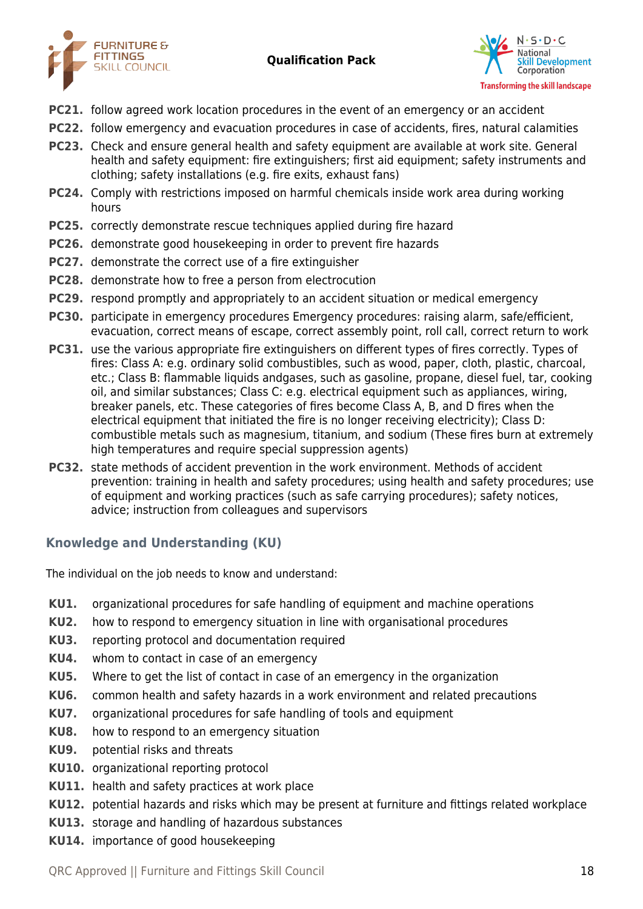



- **PC21.** follow agreed work location procedures in the event of an emergency or an accident
- **PC22.** follow emergency and evacuation procedures in case of accidents, fires, natural calamities
- **PC23.** Check and ensure general health and safety equipment are available at work site. General health and safety equipment: fire extinguishers; first aid equipment; safety instruments and clothing; safety installations (e.g. fire exits, exhaust fans)
- **PC24.** Comply with restrictions imposed on harmful chemicals inside work area during working hours
- **PC25.** correctly demonstrate rescue techniques applied during fire hazard
- **PC26.** demonstrate good housekeeping in order to prevent fire hazards
- **PC27.** demonstrate the correct use of a fire extinguisher
- **PC28.** demonstrate how to free a person from electrocution
- **PC29.** respond promptly and appropriately to an accident situation or medical emergency
- **PC30.** participate in emergency procedures Emergency procedures: raising alarm, safe/efficient, evacuation, correct means of escape, correct assembly point, roll call, correct return to work
- **PC31.** use the various appropriate fire extinguishers on different types of fires correctly. Types of fires: Class A: e.g. ordinary solid combustibles, such as wood, paper, cloth, plastic, charcoal, etc.; Class B: flammable liquids andgases, such as gasoline, propane, diesel fuel, tar, cooking oil, and similar substances; Class C: e.g. electrical equipment such as appliances, wiring, breaker panels, etc. These categories of fires become Class A, B, and D fires when the electrical equipment that initiated the fire is no longer receiving electricity); Class D: combustible metals such as magnesium, titanium, and sodium (These fires burn at extremely high temperatures and require special suppression agents)
- **PC32.** state methods of accident prevention in the work environment. Methods of accident prevention: training in health and safety procedures; using health and safety procedures; use of equipment and working practices (such as safe carrying procedures); safety notices, advice; instruction from colleagues and supervisors

# **Knowledge and Understanding (KU)**

The individual on the job needs to know and understand:

- **KU1.** organizational procedures for safe handling of equipment and machine operations
- **KU2.** how to respond to emergency situation in line with organisational procedures
- **KU3.** reporting protocol and documentation required
- **KU4.** whom to contact in case of an emergency
- **KU5.** Where to get the list of contact in case of an emergency in the organization
- **KU6.** common health and safety hazards in a work environment and related precautions
- **KU7.** organizational procedures for safe handling of tools and equipment
- **KU8.** how to respond to an emergency situation
- **KU9.** potential risks and threats
- **KU10.** organizational reporting protocol
- **KU11.** health and safety practices at work place
- **KU12.** potential hazards and risks which may be present at furniture and fittings related workplace
- **KU13.** storage and handling of hazardous substances
- **KU14.** importance of good housekeeping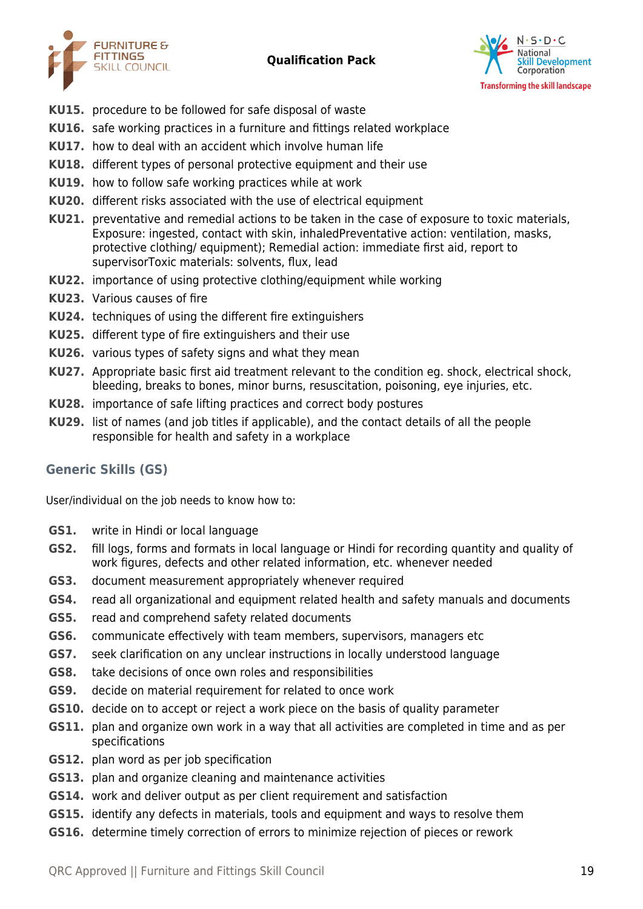



- **KU15.** procedure to be followed for safe disposal of waste
- **KU16.** safe working practices in a furniture and fittings related workplace
- **KU17.** how to deal with an accident which involve human life
- **KU18.** different types of personal protective equipment and their use
- **KU19.** how to follow safe working practices while at work
- **KU20.** different risks associated with the use of electrical equipment
- **KU21.** preventative and remedial actions to be taken in the case of exposure to toxic materials, Exposure: ingested, contact with skin, inhaledPreventative action: ventilation, masks, protective clothing/ equipment); Remedial action: immediate first aid, report to supervisorToxic materials: solvents, flux, lead
- **KU22.** importance of using protective clothing/equipment while working
- **KU23.** Various causes of fire
- **KU24.** techniques of using the different fire extinguishers
- **KU25.** different type of fire extinguishers and their use
- **KU26.** various types of safety signs and what they mean
- **KU27.** Appropriate basic first aid treatment relevant to the condition eg. shock, electrical shock, bleeding, breaks to bones, minor burns, resuscitation, poisoning, eye injuries, etc.
- **KU28.** importance of safe lifting practices and correct body postures
- **KU29.** list of names (and job titles if applicable), and the contact details of all the people responsible for health and safety in a workplace

# **Generic Skills (GS)**

User/individual on the job needs to know how to:

- **GS1.** write in Hindi or local language
- **GS2.** fill logs, forms and formats in local language or Hindi for recording quantity and quality of work figures, defects and other related information, etc. whenever needed
- **GS3.** document measurement appropriately whenever required
- **GS4.** read all organizational and equipment related health and safety manuals and documents
- **GS5.** read and comprehend safety related documents
- **GS6.** communicate effectively with team members, supervisors, managers etc
- **GS7.** seek clarification on any unclear instructions in locally understood language
- **GS8.** take decisions of once own roles and responsibilities
- **GS9.** decide on material requirement for related to once work
- **GS10.** decide on to accept or reject a work piece on the basis of quality parameter
- **GS11.** plan and organize own work in a way that all activities are completed in time and as per specifications
- **GS12.** plan word as per job specification
- **GS13.** plan and organize cleaning and maintenance activities
- **GS14.** work and deliver output as per client requirement and satisfaction
- **GS15.** identify any defects in materials, tools and equipment and ways to resolve them
- **GS16.** determine timely correction of errors to minimize rejection of pieces or rework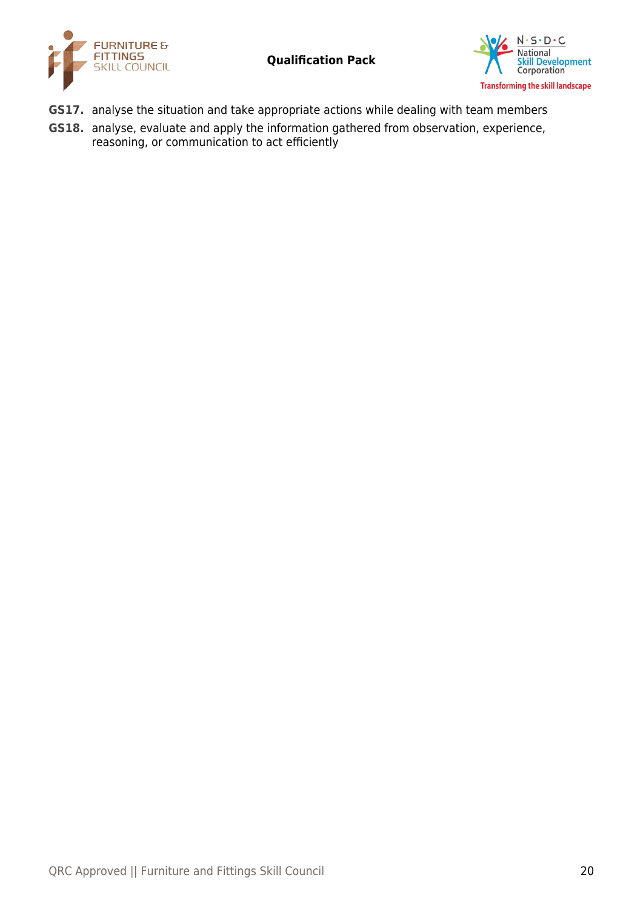



- **GS17.** analyse the situation and take appropriate actions while dealing with team members
- **GS18.** analyse, evaluate and apply the information gathered from observation, experience, reasoning, or communication to act efficiently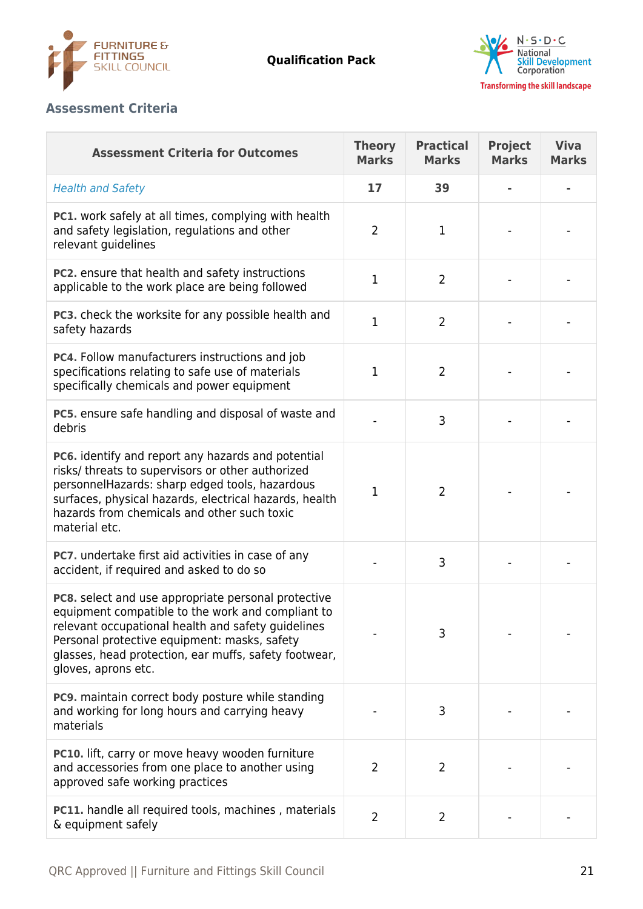



# **Assessment Criteria**

| <b>Assessment Criteria for Outcomes</b>                                                                                                                                                                                                                                                        | <b>Theory</b><br><b>Marks</b> | <b>Practical</b><br><b>Marks</b> | <b>Project</b><br><b>Marks</b> | <b>Viva</b><br><b>Marks</b> |
|------------------------------------------------------------------------------------------------------------------------------------------------------------------------------------------------------------------------------------------------------------------------------------------------|-------------------------------|----------------------------------|--------------------------------|-----------------------------|
| <b>Health and Safety</b>                                                                                                                                                                                                                                                                       | 17                            | 39                               |                                |                             |
| PC1. work safely at all times, complying with health<br>and safety legislation, regulations and other<br>relevant guidelines                                                                                                                                                                   | $\overline{2}$                | 1                                |                                |                             |
| PC2. ensure that health and safety instructions<br>applicable to the work place are being followed                                                                                                                                                                                             | $\mathbf{1}$                  | $\overline{2}$                   |                                |                             |
| PC3. check the worksite for any possible health and<br>safety hazards                                                                                                                                                                                                                          | $\mathbf{1}$                  | $\overline{2}$                   |                                |                             |
| PC4. Follow manufacturers instructions and job<br>specifications relating to safe use of materials<br>specifically chemicals and power equipment                                                                                                                                               | $\mathbf{1}$                  | $\overline{2}$                   |                                |                             |
| PC5. ensure safe handling and disposal of waste and<br>debris                                                                                                                                                                                                                                  |                               | 3                                |                                |                             |
| PC6. identify and report any hazards and potential<br>risks/ threats to supervisors or other authorized<br>personnelHazards: sharp edged tools, hazardous<br>surfaces, physical hazards, electrical hazards, health<br>hazards from chemicals and other such toxic<br>material etc.            | $\mathbf{1}$                  | 2                                |                                |                             |
| <b>PC7.</b> undertake first aid activities in case of any<br>accident, if required and asked to do so                                                                                                                                                                                          |                               | 3                                |                                |                             |
| PC8. select and use appropriate personal protective<br>equipment compatible to the work and compliant to<br>relevant occupational health and safety guidelines<br>Personal protective equipment: masks, safety<br>glasses, head protection, ear muffs, safety footwear,<br>gloves, aprons etc. |                               | 3                                |                                |                             |
| <b>PC9.</b> maintain correct body posture while standing<br>and working for long hours and carrying heavy<br>materials                                                                                                                                                                         |                               | 3                                |                                |                             |
| <b>PC10.</b> lift, carry or move heavy wooden furniture<br>and accessories from one place to another using<br>approved safe working practices                                                                                                                                                  | $\overline{2}$                | 2                                |                                |                             |
| <b>PC11.</b> handle all required tools, machines, materials<br>& equipment safely                                                                                                                                                                                                              | $\overline{2}$                | $\overline{2}$                   |                                |                             |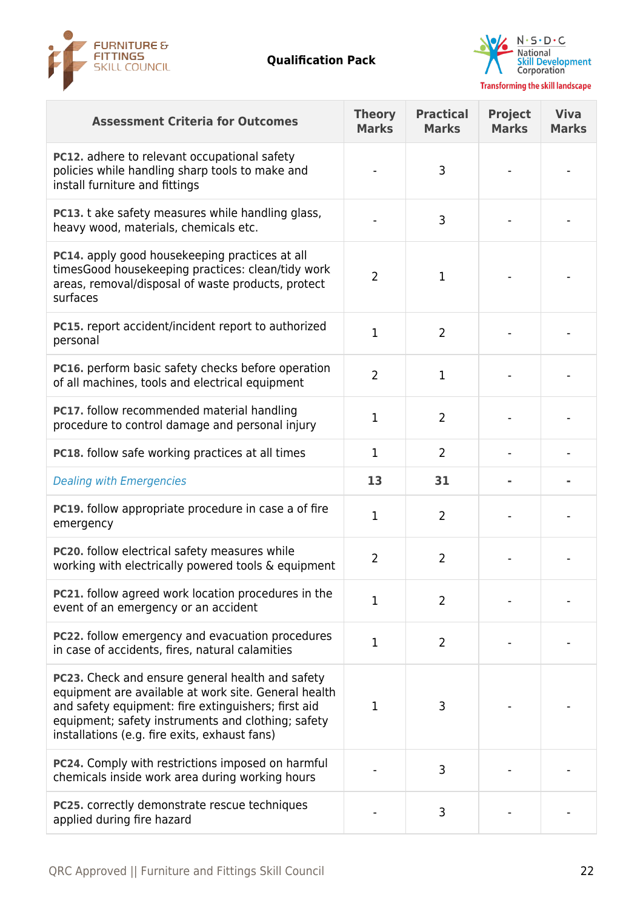



| <b>Assessment Criteria for Outcomes</b>                                                                                                                                                                                                                                | <b>Theory</b><br><b>Marks</b> | <b>Practical</b><br><b>Marks</b> | <b>Project</b><br><b>Marks</b> | <b>Viva</b><br><b>Marks</b> |
|------------------------------------------------------------------------------------------------------------------------------------------------------------------------------------------------------------------------------------------------------------------------|-------------------------------|----------------------------------|--------------------------------|-----------------------------|
| <b>PC12.</b> adhere to relevant occupational safety<br>policies while handling sharp tools to make and<br>install furniture and fittings                                                                                                                               |                               | 3                                |                                |                             |
| PC13. t ake safety measures while handling glass,<br>heavy wood, materials, chemicals etc.                                                                                                                                                                             |                               | 3                                |                                |                             |
| PC14. apply good housekeeping practices at all<br>timesGood housekeeping practices: clean/tidy work<br>areas, removal/disposal of waste products, protect<br>surfaces                                                                                                  | $\overline{2}$                | 1                                |                                |                             |
| <b>PC15.</b> report accident/incident report to authorized<br>personal                                                                                                                                                                                                 | $\mathbf{1}$                  | $\overline{2}$                   |                                |                             |
| PC16. perform basic safety checks before operation<br>of all machines, tools and electrical equipment                                                                                                                                                                  | $\overline{2}$                | 1                                |                                |                             |
| PC17. follow recommended material handling<br>procedure to control damage and personal injury                                                                                                                                                                          | 1                             | $\overline{2}$                   |                                |                             |
| <b>PC18.</b> follow safe working practices at all times                                                                                                                                                                                                                | $\mathbf{1}$                  | $\overline{2}$                   |                                |                             |
| <b>Dealing with Emergencies</b>                                                                                                                                                                                                                                        | 13                            | 31                               |                                |                             |
| <b>PC19.</b> follow appropriate procedure in case a of fire<br>emergency                                                                                                                                                                                               | $\mathbf{1}$                  | $\overline{2}$                   |                                |                             |
| PC20. follow electrical safety measures while<br>working with electrically powered tools & equipment                                                                                                                                                                   | $\overline{2}$                | $\overline{2}$                   |                                |                             |
| PC21. follow agreed work location procedures in the<br>event of an emergency or an accident                                                                                                                                                                            | $\mathbf{1}$                  | 2                                |                                |                             |
| PC22. follow emergency and evacuation procedures<br>in case of accidents, fires, natural calamities                                                                                                                                                                    | $\mathbf{1}$                  | $\overline{2}$                   |                                |                             |
| PC23. Check and ensure general health and safety<br>equipment are available at work site. General health<br>and safety equipment: fire extinguishers; first aid<br>equipment; safety instruments and clothing; safety<br>installations (e.g. fire exits, exhaust fans) | $\mathbf{1}$                  | 3                                |                                |                             |
| PC24. Comply with restrictions imposed on harmful<br>chemicals inside work area during working hours                                                                                                                                                                   |                               | 3                                |                                |                             |
| PC25. correctly demonstrate rescue techniques<br>applied during fire hazard                                                                                                                                                                                            |                               | 3                                |                                |                             |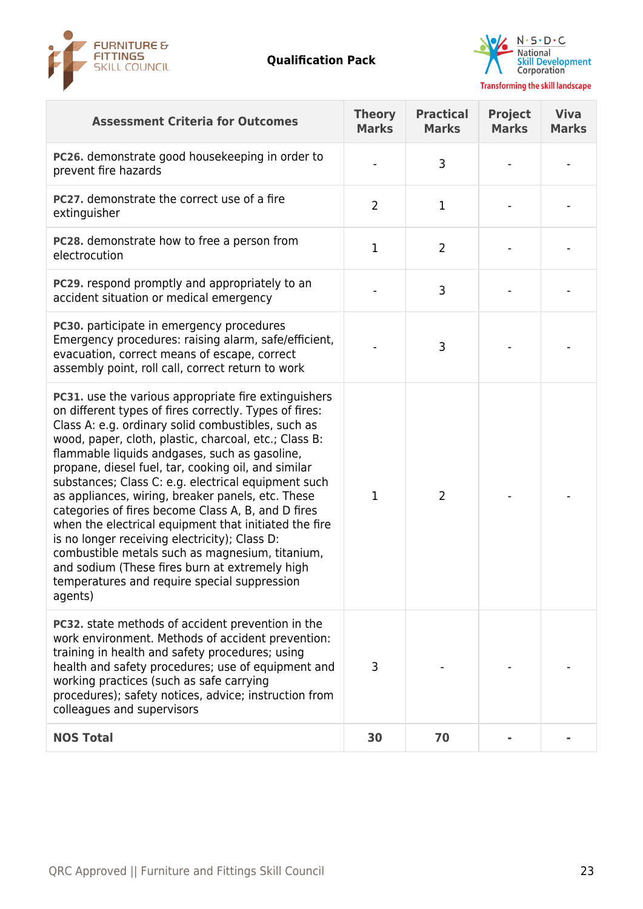



| <b>Assessment Criteria for Outcomes</b>                                                                                                                                                                                                                                                                                                                                                                                                                                                                                                                                                                                                                                                                                                                                           | <b>Theory</b><br><b>Marks</b> | <b>Practical</b><br><b>Marks</b> | <b>Project</b><br><b>Marks</b> | <b>Viva</b><br><b>Marks</b> |
|-----------------------------------------------------------------------------------------------------------------------------------------------------------------------------------------------------------------------------------------------------------------------------------------------------------------------------------------------------------------------------------------------------------------------------------------------------------------------------------------------------------------------------------------------------------------------------------------------------------------------------------------------------------------------------------------------------------------------------------------------------------------------------------|-------------------------------|----------------------------------|--------------------------------|-----------------------------|
| PC26. demonstrate good housekeeping in order to<br>prevent fire hazards                                                                                                                                                                                                                                                                                                                                                                                                                                                                                                                                                                                                                                                                                                           |                               | 3                                |                                |                             |
| PC27. demonstrate the correct use of a fire<br>extinguisher                                                                                                                                                                                                                                                                                                                                                                                                                                                                                                                                                                                                                                                                                                                       | $\overline{2}$                | 1                                |                                |                             |
| <b>PC28.</b> demonstrate how to free a person from<br>electrocution                                                                                                                                                                                                                                                                                                                                                                                                                                                                                                                                                                                                                                                                                                               | $\mathbf{1}$                  | $\overline{2}$                   |                                |                             |
| <b>PC29.</b> respond promptly and appropriately to an<br>accident situation or medical emergency                                                                                                                                                                                                                                                                                                                                                                                                                                                                                                                                                                                                                                                                                  |                               | 3                                |                                |                             |
| PC30. participate in emergency procedures<br>Emergency procedures: raising alarm, safe/efficient,<br>evacuation, correct means of escape, correct<br>assembly point, roll call, correct return to work                                                                                                                                                                                                                                                                                                                                                                                                                                                                                                                                                                            |                               | 3                                |                                |                             |
| PC31. use the various appropriate fire extinguishers<br>on different types of fires correctly. Types of fires:<br>Class A: e.g. ordinary solid combustibles, such as<br>wood, paper, cloth, plastic, charcoal, etc.; Class B:<br>flammable liquids andgases, such as gasoline,<br>propane, diesel fuel, tar, cooking oil, and similar<br>substances; Class C: e.g. electrical equipment such<br>as appliances, wiring, breaker panels, etc. These<br>categories of fires become Class A, B, and D fires<br>when the electrical equipment that initiated the fire<br>is no longer receiving electricity); Class D:<br>combustible metals such as magnesium, titanium,<br>and sodium (These fires burn at extremely high<br>temperatures and require special suppression<br>agents) | $\mathbf 1$                   | 2                                |                                |                             |
| PC32. state methods of accident prevention in the<br>work environment. Methods of accident prevention:<br>training in health and safety procedures; using<br>health and safety procedures; use of equipment and<br>working practices (such as safe carrying<br>procedures); safety notices, advice; instruction from<br>colleagues and supervisors                                                                                                                                                                                                                                                                                                                                                                                                                                | 3                             |                                  |                                |                             |
| <b>NOS Total</b>                                                                                                                                                                                                                                                                                                                                                                                                                                                                                                                                                                                                                                                                                                                                                                  | 30                            | 70                               |                                |                             |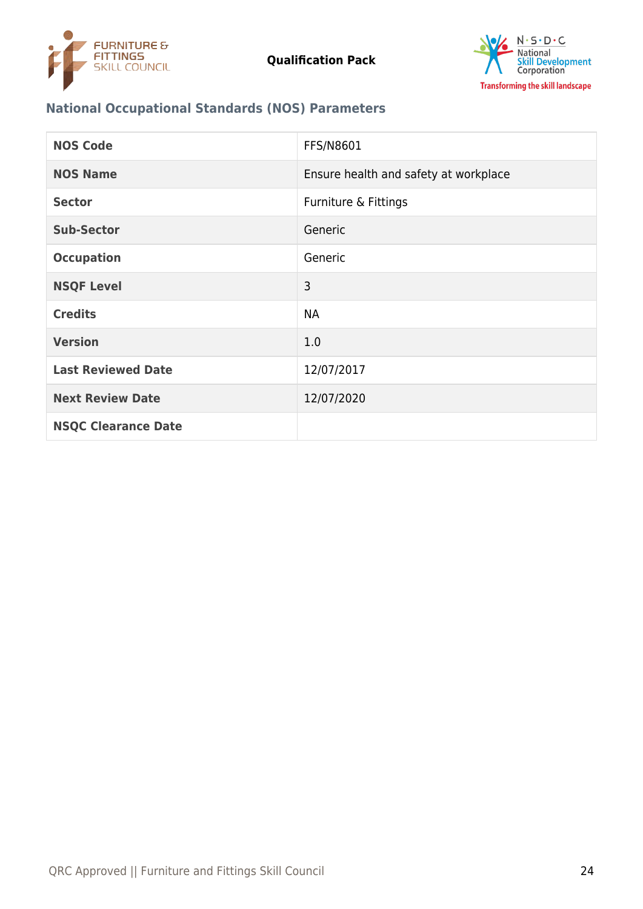



# **National Occupational Standards (NOS) Parameters**

| <b>NOS Code</b>            | FFS/N8601                             |
|----------------------------|---------------------------------------|
| <b>NOS Name</b>            | Ensure health and safety at workplace |
| <b>Sector</b>              | Furniture & Fittings                  |
| <b>Sub-Sector</b>          | Generic                               |
| <b>Occupation</b>          | Generic                               |
| <b>NSQF Level</b>          | 3                                     |
| <b>Credits</b>             | <b>NA</b>                             |
| <b>Version</b>             | 1.0                                   |
| <b>Last Reviewed Date</b>  | 12/07/2017                            |
| <b>Next Review Date</b>    | 12/07/2020                            |
| <b>NSQC Clearance Date</b> |                                       |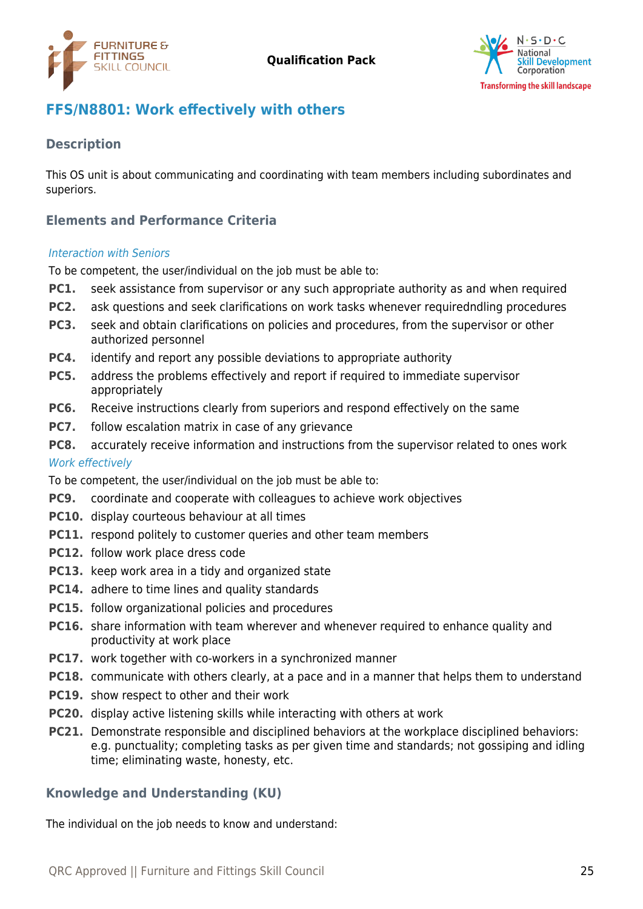



# <span id="page-24-0"></span>**FFS/N8801: Work effectively with others**

# **Description**

This OS unit is about communicating and coordinating with team members including subordinates and superiors.

# **Elements and Performance Criteria**

#### Interaction with Seniors

To be competent, the user/individual on the job must be able to:

- **PC1.** seek assistance from supervisor or any such appropriate authority as and when required
- **PC2.** ask questions and seek clarifications on work tasks whenever requiredndling procedures
- **PC3.** seek and obtain clarifications on policies and procedures, from the supervisor or other authorized personnel
- **PC4.** identify and report any possible deviations to appropriate authority
- **PC5.** address the problems effectively and report if required to immediate supervisor appropriately
- **PC6.** Receive instructions clearly from superiors and respond effectively on the same
- **PC7.** follow escalation matrix in case of any grievance
- **PC8.** accurately receive information and instructions from the supervisor related to ones work

### Work effectively

To be competent, the user/individual on the job must be able to:

- **PC9.** coordinate and cooperate with colleagues to achieve work objectives
- **PC10.** display courteous behaviour at all times
- **PC11.** respond politely to customer queries and other team members
- **PC12.** follow work place dress code
- **PC13.** keep work area in a tidy and organized state
- **PC14.** adhere to time lines and quality standards
- **PC15.** follow organizational policies and procedures
- **PC16.** share information with team wherever and whenever required to enhance quality and productivity at work place
- **PC17.** work together with co-workers in a synchronized manner
- **PC18.** communicate with others clearly, at a pace and in a manner that helps them to understand
- **PC19.** show respect to other and their work
- **PC20.** display active listening skills while interacting with others at work
- **PC21.** Demonstrate responsible and disciplined behaviors at the workplace disciplined behaviors: e.g. punctuality; completing tasks as per given time and standards; not gossiping and idling time; eliminating waste, honesty, etc.

# **Knowledge and Understanding (KU)**

The individual on the job needs to know and understand: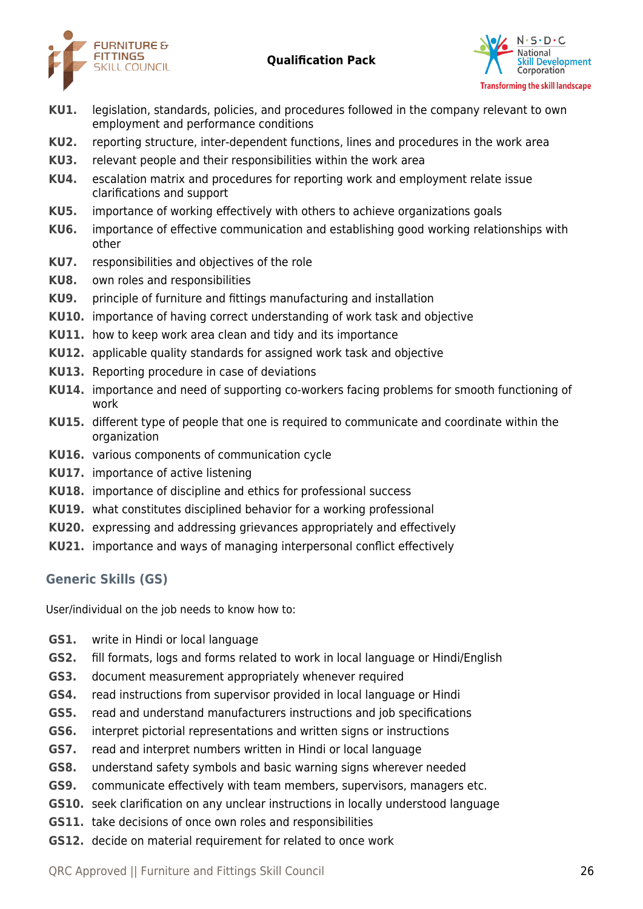



- **KU1.** legislation, standards, policies, and procedures followed in the company relevant to own employment and performance conditions
- **KU2.** reporting structure, inter-dependent functions, lines and procedures in the work area
- **KU3.** relevant people and their responsibilities within the work area
- **KU4.** escalation matrix and procedures for reporting work and employment relate issue clarifications and support
- **KU5.** importance of working effectively with others to achieve organizations goals
- **KU6.** importance of effective communication and establishing good working relationships with other
- **KU7.** responsibilities and objectives of the role
- **KU8.** own roles and responsibilities
- **KU9.** principle of furniture and fittings manufacturing and installation
- **KU10.** importance of having correct understanding of work task and objective
- **KU11.** how to keep work area clean and tidy and its importance
- **KU12.** applicable quality standards for assigned work task and objective
- **KU13.** Reporting procedure in case of deviations
- **KU14.** importance and need of supporting co-workers facing problems for smooth functioning of work
- **KU15.** different type of people that one is required to communicate and coordinate within the organization
- **KU16.** various components of communication cycle
- **KU17.** importance of active listening
- **KU18.** importance of discipline and ethics for professional success
- **KU19.** what constitutes disciplined behavior for a working professional
- **KU20.** expressing and addressing grievances appropriately and effectively
- **KU21.** importance and ways of managing interpersonal conflict effectively

# **Generic Skills (GS)**

User/individual on the job needs to know how to:

- **GS1.** write in Hindi or local language
- **GS2.** fill formats, logs and forms related to work in local language or Hindi/English
- **GS3.** document measurement appropriately whenever required
- **GS4.** read instructions from supervisor provided in local language or Hindi
- **GS5.** read and understand manufacturers instructions and job specifications
- **GS6.** interpret pictorial representations and written signs or instructions
- **GS7.** read and interpret numbers written in Hindi or local language
- **GS8.** understand safety symbols and basic warning signs wherever needed
- **GS9.** communicate effectively with team members, supervisors, managers etc.
- **GS10.** seek clarification on any unclear instructions in locally understood language
- **GS11.** take decisions of once own roles and responsibilities
- **GS12.** decide on material requirement for related to once work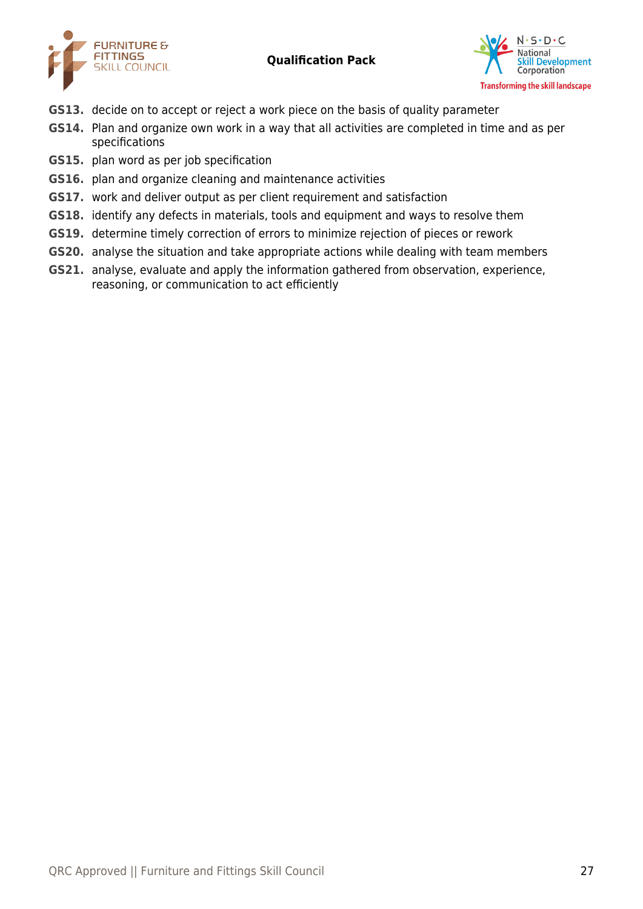



- **GS13.** decide on to accept or reject a work piece on the basis of quality parameter
- **GS14.** Plan and organize own work in a way that all activities are completed in time and as per specifications
- **GS15.** plan word as per job specification
- **GS16.** plan and organize cleaning and maintenance activities
- **GS17.** work and deliver output as per client requirement and satisfaction
- **GS18.** identify any defects in materials, tools and equipment and ways to resolve them
- **GS19.** determine timely correction of errors to minimize rejection of pieces or rework
- **GS20.** analyse the situation and take appropriate actions while dealing with team members
- **GS21.** analyse, evaluate and apply the information gathered from observation, experience, reasoning, or communication to act efficiently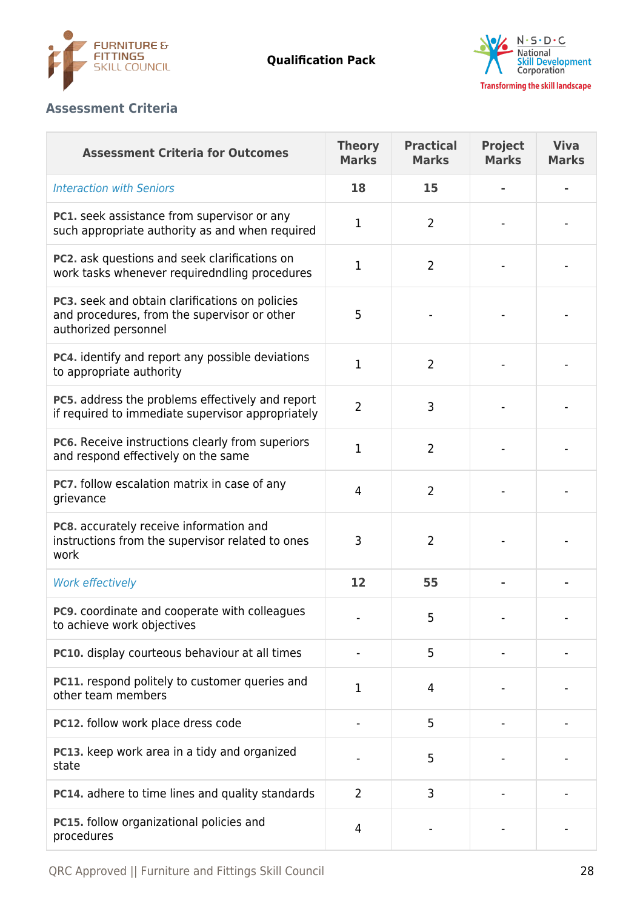



# **Assessment Criteria**

| <b>Assessment Criteria for Outcomes</b>                                                                                 | <b>Theory</b><br><b>Marks</b> | <b>Practical</b><br><b>Marks</b> | <b>Project</b><br><b>Marks</b> | <b>Viva</b><br><b>Marks</b> |
|-------------------------------------------------------------------------------------------------------------------------|-------------------------------|----------------------------------|--------------------------------|-----------------------------|
| <b>Interaction with Seniors</b>                                                                                         | 18                            | 15                               |                                |                             |
| PC1. seek assistance from supervisor or any<br>such appropriate authority as and when required                          | 1                             | 2                                |                                |                             |
| PC2. ask questions and seek clarifications on<br>work tasks whenever requiredndling procedures                          | 1                             | $\overline{2}$                   |                                |                             |
| PC3. seek and obtain clarifications on policies<br>and procedures, from the supervisor or other<br>authorized personnel | 5                             |                                  |                                |                             |
| PC4. identify and report any possible deviations<br>to appropriate authority                                            | 1                             | 2                                |                                |                             |
| PC5. address the problems effectively and report<br>if required to immediate supervisor appropriately                   | $\overline{2}$                | 3                                |                                |                             |
| PC6. Receive instructions clearly from superiors<br>and respond effectively on the same                                 | 1                             | $\overline{2}$                   |                                |                             |
| PC7. follow escalation matrix in case of any<br>grievance                                                               | $\overline{4}$                | $\overline{2}$                   |                                |                             |
| PC8. accurately receive information and<br>instructions from the supervisor related to ones<br>work                     | 3                             | $\overline{2}$                   |                                |                             |
| <b>Work effectively</b>                                                                                                 | 12                            | 55                               |                                |                             |
| <b>PC9.</b> coordinate and cooperate with colleagues<br>to achieve work objectives                                      |                               | 5                                |                                |                             |
| PC10. display courteous behaviour at all times                                                                          |                               | 5                                |                                |                             |
| PC11. respond politely to customer queries and<br>other team members                                                    | 1                             | 4                                |                                |                             |
| PC12. follow work place dress code                                                                                      |                               | 5                                |                                |                             |
| PC13. keep work area in a tidy and organized<br>state                                                                   |                               | 5                                |                                |                             |
| PC14. adhere to time lines and quality standards                                                                        | $\overline{2}$                | 3                                |                                |                             |
| PC15. follow organizational policies and<br>procedures                                                                  | 4                             |                                  |                                |                             |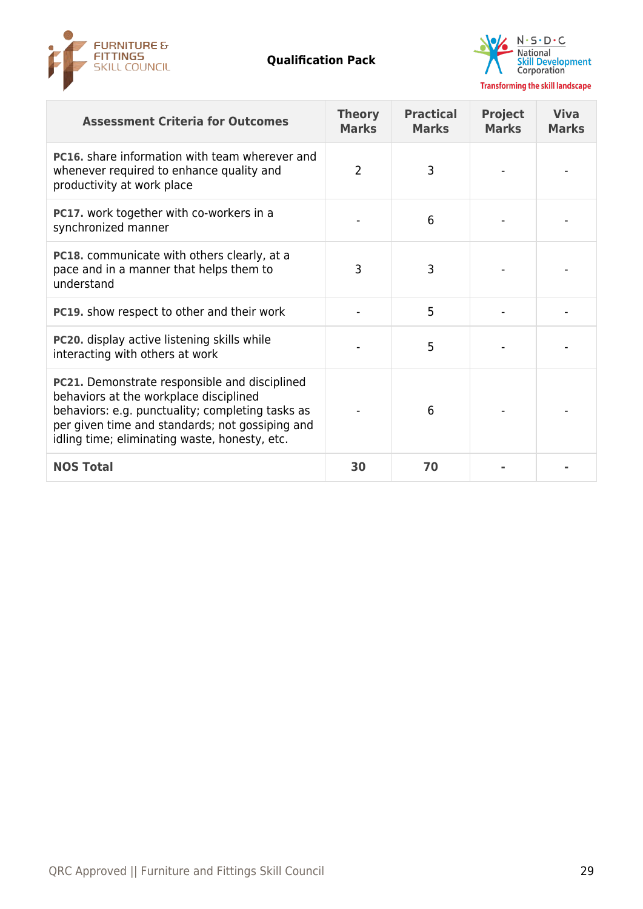



| <b>Assessment Criteria for Outcomes</b>                                                                                                                                                                                                                | <b>Theory</b><br><b>Marks</b> | <b>Practical</b><br><b>Marks</b> | <b>Project</b><br><b>Marks</b> | <b>Viva</b><br><b>Marks</b> |
|--------------------------------------------------------------------------------------------------------------------------------------------------------------------------------------------------------------------------------------------------------|-------------------------------|----------------------------------|--------------------------------|-----------------------------|
| <b>PC16.</b> share information with team wherever and<br>whenever required to enhance quality and<br>productivity at work place                                                                                                                        | 2                             | 3                                |                                |                             |
| <b>PC17.</b> work together with co-workers in a<br>synchronized manner                                                                                                                                                                                 |                               | 6                                |                                |                             |
| <b>PC18.</b> communicate with others clearly, at a<br>pace and in a manner that helps them to<br>understand                                                                                                                                            | 3                             | 3                                |                                |                             |
| <b>PC19.</b> show respect to other and their work                                                                                                                                                                                                      |                               | 5                                |                                |                             |
| <b>PC20.</b> display active listening skills while<br>interacting with others at work                                                                                                                                                                  |                               | 5                                |                                |                             |
| <b>PC21.</b> Demonstrate responsible and disciplined<br>behaviors at the workplace disciplined<br>behaviors: e.g. punctuality; completing tasks as<br>per given time and standards; not gossiping and<br>idling time; eliminating waste, honesty, etc. |                               | 6                                |                                |                             |
| <b>NOS Total</b>                                                                                                                                                                                                                                       | 30                            | 70                               |                                |                             |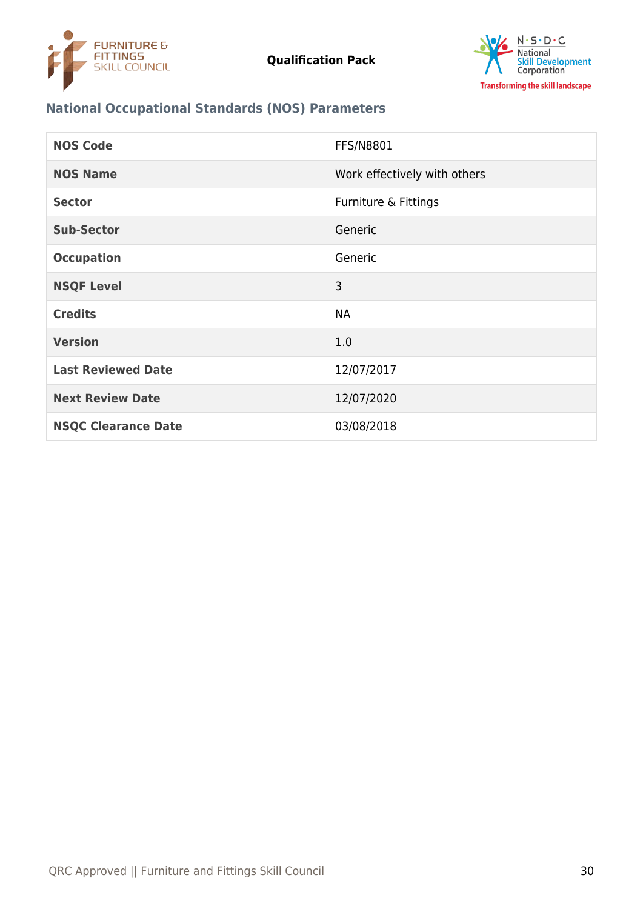



# **National Occupational Standards (NOS) Parameters**

| <b>NOS Code</b>            | <b>FFS/N8801</b>             |
|----------------------------|------------------------------|
| <b>NOS Name</b>            | Work effectively with others |
| <b>Sector</b>              | Furniture & Fittings         |
| <b>Sub-Sector</b>          | Generic                      |
| <b>Occupation</b>          | Generic                      |
| <b>NSQF Level</b>          | 3                            |
| <b>Credits</b>             | <b>NA</b>                    |
| <b>Version</b>             | 1.0                          |
| <b>Last Reviewed Date</b>  | 12/07/2017                   |
| <b>Next Review Date</b>    | 12/07/2020                   |
| <b>NSQC Clearance Date</b> | 03/08/2018                   |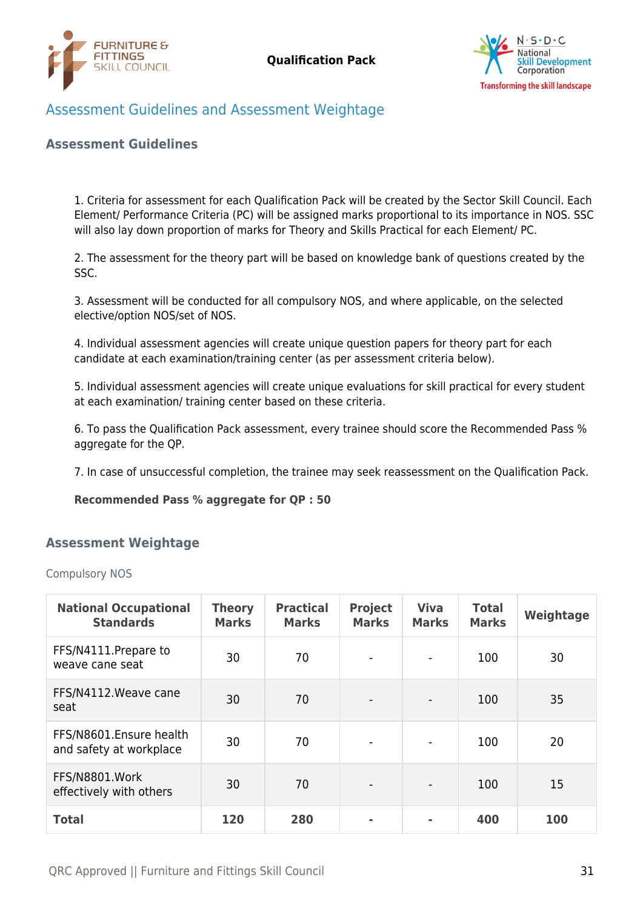



# <span id="page-30-0"></span>Assessment Guidelines and Assessment Weightage

### **Assessment Guidelines**

1. Criteria for assessment for each Qualification Pack will be created by the Sector Skill Council. Each Element/ Performance Criteria (PC) will be assigned marks proportional to its importance in NOS. SSC will also lay down proportion of marks for Theory and Skills Practical for each Element/ PC.

2. The assessment for the theory part will be based on knowledge bank of questions created by the SSC.

3. Assessment will be conducted for all compulsory NOS, and where applicable, on the selected elective/option NOS/set of NOS.

4. Individual assessment agencies will create unique question papers for theory part for each candidate at each examination/training center (as per assessment criteria below).

5. Individual assessment agencies will create unique evaluations for skill practical for every student at each examination/ training center based on these criteria.

6. To pass the Qualification Pack assessment, every trainee should score the Recommended Pass % aggregate for the QP.

7. In case of unsuccessful completion, the trainee may seek reassessment on the Qualification Pack.

#### **Recommended Pass % aggregate for QP : 50**

### <span id="page-30-1"></span>**Assessment Weightage**

Compulsory NOS

| <b>National Occupational</b><br><b>Standards</b>   | <b>Theory</b><br><b>Marks</b> | <b>Practical</b><br><b>Marks</b> | <b>Project</b><br><b>Marks</b> | <b>Viva</b><br><b>Marks</b> | <b>Total</b><br><b>Marks</b> | Weightage |
|----------------------------------------------------|-------------------------------|----------------------------------|--------------------------------|-----------------------------|------------------------------|-----------|
| FFS/N4111. Prepare to<br>weave cane seat           | 30                            | 70                               |                                |                             | 100                          | 30        |
| FFS/N4112. Weave cane<br>seat                      | 30                            | 70                               |                                |                             | 100                          | 35        |
| FFS/N8601.Ensure health<br>and safety at workplace | 30                            | 70                               |                                |                             | 100                          | 20        |
| FFS/N8801.Work<br>effectively with others          | 30                            | 70                               |                                |                             | 100                          | 15        |
| <b>Total</b>                                       | 120                           | 280                              |                                |                             | 400                          | 100       |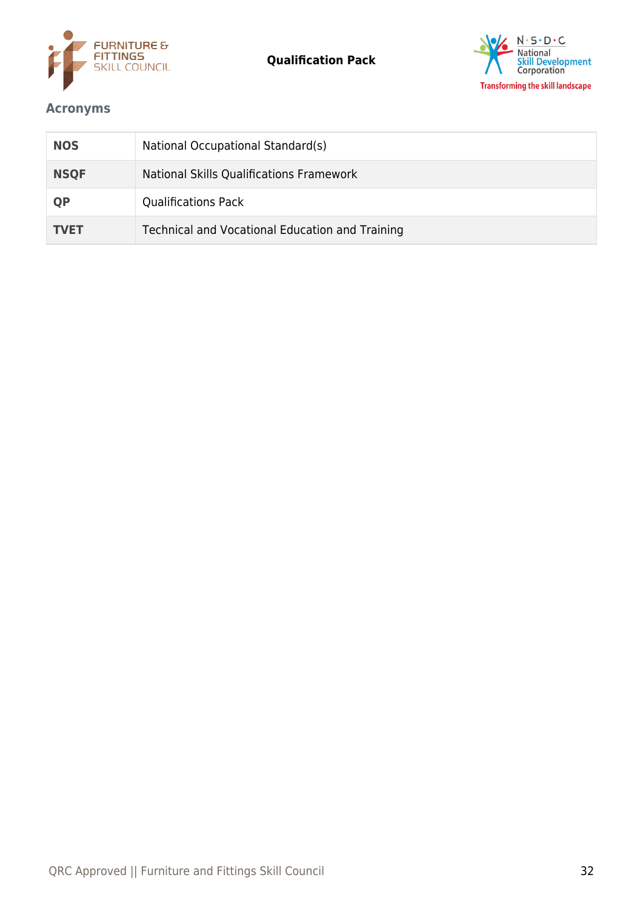



# <span id="page-31-0"></span>**Acronyms**

| <b>NOS</b>  | National Occupational Standard(s)               |
|-------------|-------------------------------------------------|
| <b>NSQF</b> | National Skills Qualifications Framework        |
| <b>QP</b>   | <b>Qualifications Pack</b>                      |
| <b>TVET</b> | Technical and Vocational Education and Training |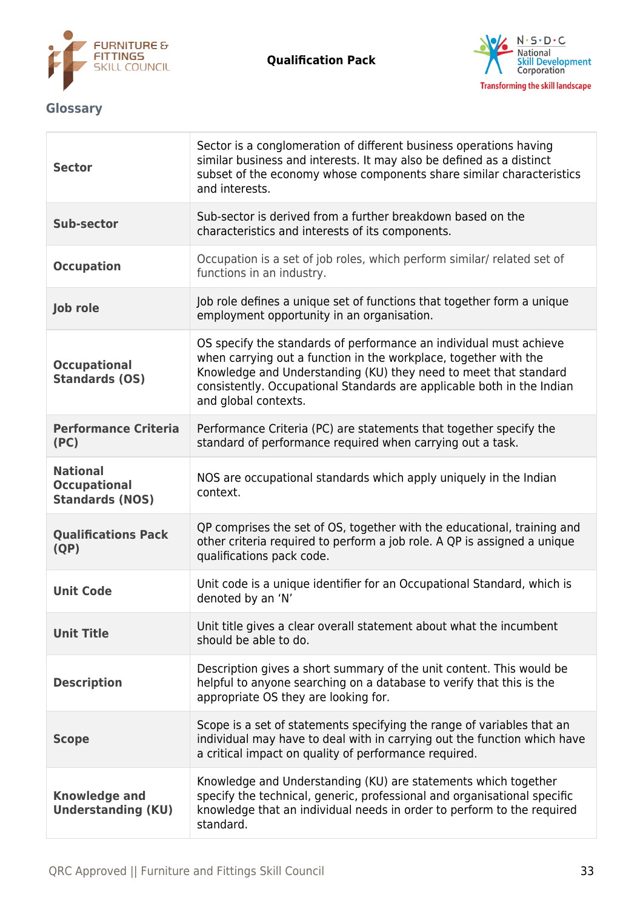

T

**Qualification Pack**



# <span id="page-32-0"></span>**Glossary**

| <b>Sector</b>                                                    | Sector is a conglomeration of different business operations having<br>similar business and interests. It may also be defined as a distinct<br>subset of the economy whose components share similar characteristics<br>and interests.                                                                         |
|------------------------------------------------------------------|--------------------------------------------------------------------------------------------------------------------------------------------------------------------------------------------------------------------------------------------------------------------------------------------------------------|
| <b>Sub-sector</b>                                                | Sub-sector is derived from a further breakdown based on the<br>characteristics and interests of its components.                                                                                                                                                                                              |
| <b>Occupation</b>                                                | Occupation is a set of job roles, which perform similar/ related set of<br>functions in an industry.                                                                                                                                                                                                         |
| <b>Job role</b>                                                  | Job role defines a unique set of functions that together form a unique<br>employment opportunity in an organisation.                                                                                                                                                                                         |
| <b>Occupational</b><br><b>Standards (OS)</b>                     | OS specify the standards of performance an individual must achieve<br>when carrying out a function in the workplace, together with the<br>Knowledge and Understanding (KU) they need to meet that standard<br>consistently. Occupational Standards are applicable both in the Indian<br>and global contexts. |
| <b>Performance Criteria</b><br>(PC)                              | Performance Criteria (PC) are statements that together specify the<br>standard of performance required when carrying out a task.                                                                                                                                                                             |
| <b>National</b><br><b>Occupational</b><br><b>Standards (NOS)</b> | NOS are occupational standards which apply uniquely in the Indian<br>context.                                                                                                                                                                                                                                |
| <b>Qualifications Pack</b><br>(QP)                               | QP comprises the set of OS, together with the educational, training and<br>other criteria required to perform a job role. A QP is assigned a unique<br>qualifications pack code.                                                                                                                             |
| <b>Unit Code</b>                                                 | Unit code is a unique identifier for an Occupational Standard, which is<br>denoted by an 'N'                                                                                                                                                                                                                 |
| <b>Unit Title</b>                                                | Unit title gives a clear overall statement about what the incumbent<br>should be able to do.                                                                                                                                                                                                                 |
| <b>Description</b>                                               | Description gives a short summary of the unit content. This would be<br>helpful to anyone searching on a database to verify that this is the<br>appropriate OS they are looking for.                                                                                                                         |
| <b>Scope</b>                                                     | Scope is a set of statements specifying the range of variables that an<br>individual may have to deal with in carrying out the function which have<br>a critical impact on quality of performance required.                                                                                                  |
| <b>Knowledge and</b><br><b>Understanding (KU)</b>                | Knowledge and Understanding (KU) are statements which together<br>specify the technical, generic, professional and organisational specific<br>knowledge that an individual needs in order to perform to the required<br>standard.                                                                            |